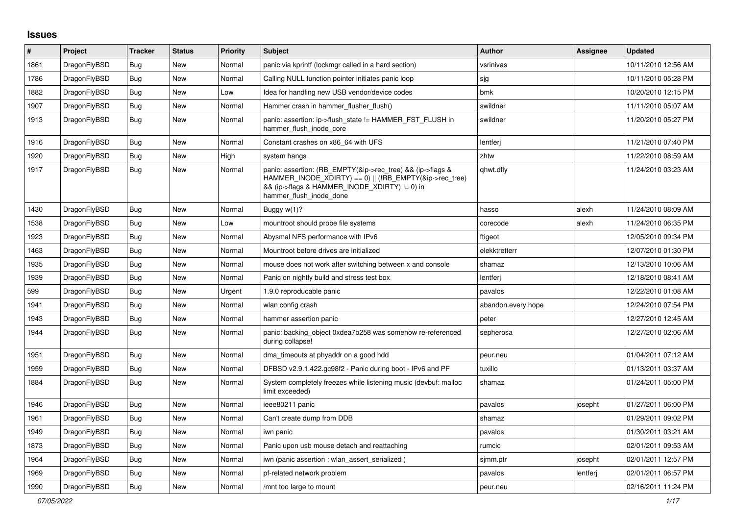## **Issues**

| #    | Project      | <b>Tracker</b> | <b>Status</b> | <b>Priority</b> | <b>Subject</b>                                                                                                                                                                                    | <b>Author</b>      | Assignee | <b>Updated</b>      |
|------|--------------|----------------|---------------|-----------------|---------------------------------------------------------------------------------------------------------------------------------------------------------------------------------------------------|--------------------|----------|---------------------|
| 1861 | DragonFlyBSD | Bug            | New           | Normal          | panic via kprintf (lockmgr called in a hard section)                                                                                                                                              | vsrinivas          |          | 10/11/2010 12:56 AM |
| 1786 | DragonFlyBSD | <b>Bug</b>     | New           | Normal          | Calling NULL function pointer initiates panic loop                                                                                                                                                | sjg                |          | 10/11/2010 05:28 PM |
| 1882 | DragonFlyBSD | <b>Bug</b>     | New           | Low             | Idea for handling new USB vendor/device codes                                                                                                                                                     | bmk                |          | 10/20/2010 12:15 PM |
| 1907 | DragonFlyBSD | <b>Bug</b>     | New           | Normal          | Hammer crash in hammer flusher flush()                                                                                                                                                            | swildner           |          | 11/11/2010 05:07 AM |
| 1913 | DragonFlyBSD | Bug            | New           | Normal          | panic: assertion: ip->flush_state != HAMMER_FST_FLUSH in<br>hammer flush inode core                                                                                                               | swildner           |          | 11/20/2010 05:27 PM |
| 1916 | DragonFlyBSD | <b>Bug</b>     | <b>New</b>    | Normal          | Constant crashes on x86 64 with UFS                                                                                                                                                               | lentferj           |          | 11/21/2010 07:40 PM |
| 1920 | DragonFlyBSD | <b>Bug</b>     | New           | High            | system hangs                                                                                                                                                                                      | zhtw               |          | 11/22/2010 08:59 AM |
| 1917 | DragonFlyBSD | Bug            | New           | Normal          | panic: assertion: (RB EMPTY(&ip->rec tree) && (ip->flags &<br>HAMMER INODE XDIRTY) == 0)    (!RB EMPTY(&ip->rec tree)<br>&& (ip->flags & HAMMER_INODE_XDIRTY) != 0) in<br>hammer flush inode done | qhwt.dfly          |          | 11/24/2010 03:23 AM |
| 1430 | DragonFlyBSD | <b>Bug</b>     | New           | Normal          | Buggy w(1)?                                                                                                                                                                                       | hasso              | alexh    | 11/24/2010 08:09 AM |
| 1538 | DragonFlyBSD | <b>Bug</b>     | New           | Low             | mountroot should probe file systems                                                                                                                                                               | corecode           | alexh    | 11/24/2010 06:35 PM |
| 1923 | DragonFlyBSD | <b>Bug</b>     | New           | Normal          | Abysmal NFS performance with IPv6                                                                                                                                                                 | ftigeot            |          | 12/05/2010 09:34 PM |
| 1463 | DragonFlyBSD | Bug            | New           | Normal          | Mountroot before drives are initialized                                                                                                                                                           | elekktretterr      |          | 12/07/2010 01:30 PM |
| 1935 | DragonFlyBSD | <b>Bug</b>     | New           | Normal          | mouse does not work after switching between x and console                                                                                                                                         | shamaz             |          | 12/13/2010 10:06 AM |
| 1939 | DragonFlyBSD | <b>Bug</b>     | New           | Normal          | Panic on nightly build and stress test box                                                                                                                                                        | lentferj           |          | 12/18/2010 08:41 AM |
| 599  | DragonFlyBSD | Bug            | New           | Urgent          | 1.9.0 reproducable panic                                                                                                                                                                          | pavalos            |          | 12/22/2010 01:08 AM |
| 1941 | DragonFlyBSD | <b>Bug</b>     | New           | Normal          | wlan config crash                                                                                                                                                                                 | abandon.every.hope |          | 12/24/2010 07:54 PM |
| 1943 | DragonFlyBSD | <b>Bug</b>     | <b>New</b>    | Normal          | hammer assertion panic                                                                                                                                                                            | peter              |          | 12/27/2010 12:45 AM |
| 1944 | DragonFlyBSD | Bug            | New           | Normal          | panic: backing_object 0xdea7b258 was somehow re-referenced<br>during collapse!                                                                                                                    | sepherosa          |          | 12/27/2010 02:06 AM |
| 1951 | DragonFlyBSD | <b>Bug</b>     | <b>New</b>    | Normal          | dma_timeouts at phyaddr on a good hdd                                                                                                                                                             | peur.neu           |          | 01/04/2011 07:12 AM |
| 1959 | DragonFlyBSD | <b>Bug</b>     | New           | Normal          | DFBSD v2.9.1.422.gc98f2 - Panic during boot - IPv6 and PF                                                                                                                                         | tuxillo            |          | 01/13/2011 03:37 AM |
| 1884 | DragonFlyBSD | Bug            | New           | Normal          | System completely freezes while listening music (devbuf: malloc<br>limit exceeded)                                                                                                                | shamaz             |          | 01/24/2011 05:00 PM |
| 1946 | DragonFlyBSD | <b>Bug</b>     | <b>New</b>    | Normal          | ieee80211 panic                                                                                                                                                                                   | pavalos            | josepht  | 01/27/2011 06:00 PM |
| 1961 | DragonFlyBSD | Bug            | New           | Normal          | Can't create dump from DDB                                                                                                                                                                        | shamaz             |          | 01/29/2011 09:02 PM |
| 1949 | DragonFlyBSD | <b>Bug</b>     | New           | Normal          | iwn panic                                                                                                                                                                                         | pavalos            |          | 01/30/2011 03:21 AM |
| 1873 | DragonFlyBSD | Bug            | New           | Normal          | Panic upon usb mouse detach and reattaching                                                                                                                                                       | rumcic             |          | 02/01/2011 09:53 AM |
| 1964 | DragonFlyBSD | Bug            | New           | Normal          | iwn (panic assertion : wlan assert serialized)                                                                                                                                                    | sjmm.ptr           | josepht  | 02/01/2011 12:57 PM |
| 1969 | DragonFlyBSD | <b>Bug</b>     | New           | Normal          | pf-related network problem                                                                                                                                                                        | pavalos            | lentferj | 02/01/2011 06:57 PM |
| 1990 | DragonFlyBSD | Bug            | New           | Normal          | /mnt too large to mount                                                                                                                                                                           | peur.neu           |          | 02/16/2011 11:24 PM |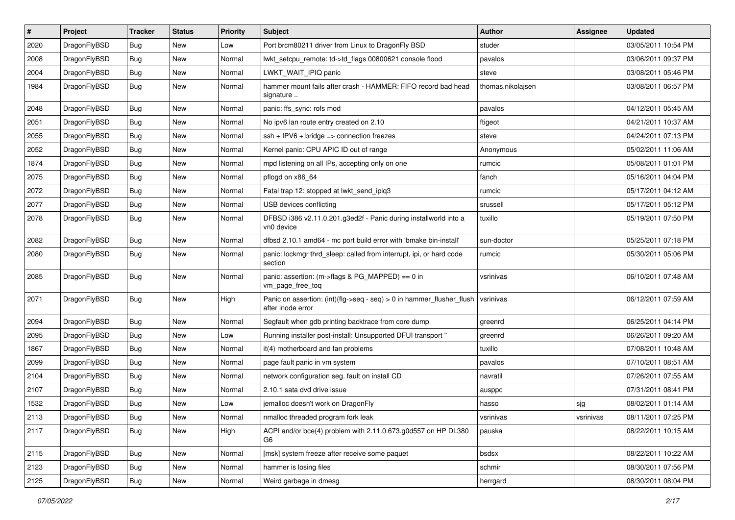| #    | Project      | <b>Tracker</b> | <b>Status</b> | <b>Priority</b> | <b>Subject</b>                                                                             | Author            | Assignee  | <b>Updated</b>      |
|------|--------------|----------------|---------------|-----------------|--------------------------------------------------------------------------------------------|-------------------|-----------|---------------------|
| 2020 | DragonFlyBSD | <b>Bug</b>     | New           | Low             | Port brcm80211 driver from Linux to DragonFly BSD                                          | studer            |           | 03/05/2011 10:54 PM |
| 2008 | DragonFlyBSD | Bug            | <b>New</b>    | Normal          | lwkt_setcpu_remote: td->td_flags 00800621 console flood                                    | pavalos           |           | 03/06/2011 09:37 PM |
| 2004 | DragonFlyBSD | Bug            | New           | Normal          | LWKT WAIT IPIQ panic                                                                       | steve             |           | 03/08/2011 05:46 PM |
| 1984 | DragonFlyBSD | Bug            | New           | Normal          | hammer mount fails after crash - HAMMER: FIFO record bad head<br>signature                 | thomas.nikolajsen |           | 03/08/2011 06:57 PM |
| 2048 | DragonFlyBSD | <b>Bug</b>     | New           | Normal          | panic: ffs sync: rofs mod                                                                  | pavalos           |           | 04/12/2011 05:45 AM |
| 2051 | DragonFlyBSD | Bug            | <b>New</b>    | Normal          | No ipv6 lan route entry created on 2.10                                                    | ftigeot           |           | 04/21/2011 10:37 AM |
| 2055 | DragonFlyBSD | <b>Bug</b>     | New           | Normal          | ssh + IPV6 + bridge => connection freezes                                                  | steve             |           | 04/24/2011 07:13 PM |
| 2052 | DragonFlyBSD | Bug            | New           | Normal          | Kernel panic: CPU APIC ID out of range                                                     | Anonymous         |           | 05/02/2011 11:06 AM |
| 1874 | DragonFlyBSD | Bug            | <b>New</b>    | Normal          | mpd listening on all IPs, accepting only on one                                            | rumcic            |           | 05/08/2011 01:01 PM |
| 2075 | DragonFlyBSD | Bug            | New           | Normal          | pflogd on x86 64                                                                           | fanch             |           | 05/16/2011 04:04 PM |
| 2072 | DragonFlyBSD | Bug            | New           | Normal          | Fatal trap 12: stopped at lwkt_send_ipiq3                                                  | rumcic            |           | 05/17/2011 04:12 AM |
| 2077 | DragonFlyBSD | Bug            | New           | Normal          | USB devices conflicting                                                                    | srussell          |           | 05/17/2011 05:12 PM |
| 2078 | DragonFlyBSD | Bug            | New           | Normal          | DFBSD i386 v2.11.0.201.g3ed2f - Panic during installworld into a<br>vn0 device             | tuxillo           |           | 05/19/2011 07:50 PM |
| 2082 | DragonFlyBSD | Bug            | New           | Normal          | dfbsd 2.10.1 amd64 - mc port build error with 'bmake bin-install'                          | sun-doctor        |           | 05/25/2011 07:18 PM |
| 2080 | DragonFlyBSD | Bug            | New           | Normal          | panic: lockmgr thrd_sleep: called from interrupt, ipi, or hard code<br>section             | rumcic            |           | 05/30/2011 05:06 PM |
| 2085 | DragonFlyBSD | Bug            | <b>New</b>    | Normal          | panic: assertion: (m->flags & PG_MAPPED) == 0 in<br>vm_page_free_toq                       | vsrinivas         |           | 06/10/2011 07:48 AM |
| 2071 | DragonFlyBSD | <b>Bug</b>     | <b>New</b>    | High            | Panic on assertion: (int)(flg->seq - seq) > 0 in hammer_flusher_flush<br>after inode error | vsrinivas         |           | 06/12/2011 07:59 AM |
| 2094 | DragonFlyBSD | Bug            | <b>New</b>    | Normal          | Segfault when gdb printing backtrace from core dump                                        | greenrd           |           | 06/25/2011 04:14 PM |
| 2095 | DragonFlyBSD | Bug            | New           | Low             | Running installer post-install: Unsupported DFUI transport "                               | greenrd           |           | 06/26/2011 09:20 AM |
| 1867 | DragonFlyBSD | Bug            | New           | Normal          | it(4) motherboard and fan problems                                                         | tuxillo           |           | 07/08/2011 10:48 AM |
| 2099 | DragonFlyBSD | Bug            | <b>New</b>    | Normal          | page fault panic in vm system                                                              | pavalos           |           | 07/10/2011 08:51 AM |
| 2104 | DragonFlyBSD | Bug            | New           | Normal          | network configuration seg. fault on install CD                                             | navratil          |           | 07/26/2011 07:55 AM |
| 2107 | DragonFlyBSD | Bug            | New           | Normal          | 2.10.1 sata dvd drive issue                                                                | ausppc            |           | 07/31/2011 08:41 PM |
| 1532 | DragonFlyBSD | <b>Bug</b>     | New           | Low             | jemalloc doesn't work on DragonFly                                                         | hasso             | sjg       | 08/02/2011 01:14 AM |
| 2113 | DragonFlyBSD | Bug            | New           | Normal          | nmalloc threaded program fork leak                                                         | vsrinivas         | vsrinivas | 08/11/2011 07:25 PM |
| 2117 | DragonFlyBSD | Bug            | New           | High            | ACPI and/or bce(4) problem with 2.11.0.673.g0d557 on HP DL380<br>G6                        | pauska            |           | 08/22/2011 10:15 AM |
| 2115 | DragonFlyBSD | <b>Bug</b>     | New           | Normal          | [msk] system freeze after receive some paquet                                              | bsdsx             |           | 08/22/2011 10:22 AM |
| 2123 | DragonFlyBSD | Bug            | New           | Normal          | hammer is losing files                                                                     | schmir            |           | 08/30/2011 07:56 PM |
| 2125 | DragonFlyBSD | Bug            | New           | Normal          | Weird garbage in dmesg                                                                     | herrgard          |           | 08/30/2011 08:04 PM |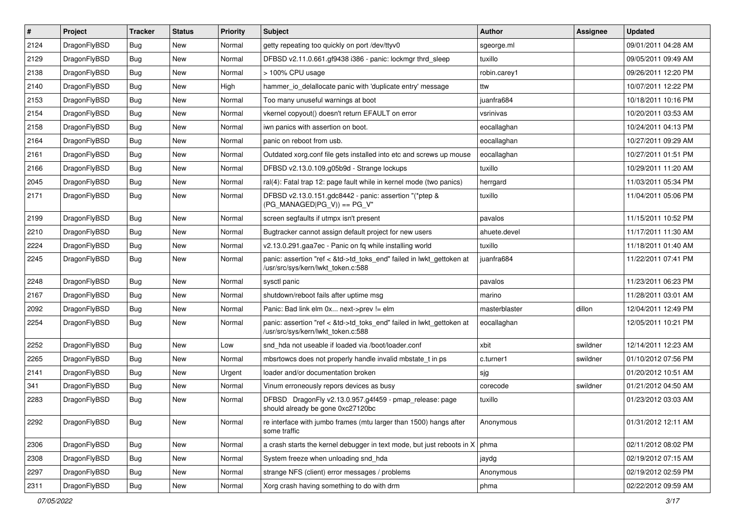| $\sharp$ | Project      | <b>Tracker</b> | <b>Status</b> | <b>Priority</b> | <b>Subject</b>                                                                                             | <b>Author</b> | <b>Assignee</b> | <b>Updated</b>      |
|----------|--------------|----------------|---------------|-----------------|------------------------------------------------------------------------------------------------------------|---------------|-----------------|---------------------|
| 2124     | DragonFlyBSD | Bug            | New           | Normal          | getty repeating too quickly on port /dev/ttyv0                                                             | sgeorge.ml    |                 | 09/01/2011 04:28 AM |
| 2129     | DragonFlyBSD | Bug            | <b>New</b>    | Normal          | DFBSD v2.11.0.661.gf9438 i386 - panic: lockmgr thrd_sleep                                                  | tuxillo       |                 | 09/05/2011 09:49 AM |
| 2138     | DragonFlyBSD | <b>Bug</b>     | New           | Normal          | > 100% CPU usage                                                                                           | robin.carey1  |                 | 09/26/2011 12:20 PM |
| 2140     | DragonFlyBSD | <b>Bug</b>     | New           | High            | hammer_io_delallocate panic with 'duplicate entry' message                                                 | ttw           |                 | 10/07/2011 12:22 PM |
| 2153     | DragonFlyBSD | Bug            | <b>New</b>    | Normal          | Too many unuseful warnings at boot                                                                         | juanfra684    |                 | 10/18/2011 10:16 PM |
| 2154     | DragonFlyBSD | <b>Bug</b>     | New           | Normal          | vkernel copyout() doesn't return EFAULT on error                                                           | vsrinivas     |                 | 10/20/2011 03:53 AM |
| 2158     | DragonFlyBSD | <b>Bug</b>     | New           | Normal          | iwn panics with assertion on boot.                                                                         | eocallaghan   |                 | 10/24/2011 04:13 PM |
| 2164     | DragonFlyBSD | <b>Bug</b>     | New           | Normal          | panic on reboot from usb.                                                                                  | eocallaghan   |                 | 10/27/2011 09:29 AM |
| 2161     | DragonFlyBSD | <b>Bug</b>     | New           | Normal          | Outdated xorg.conf file gets installed into etc and screws up mouse                                        | eocallaghan   |                 | 10/27/2011 01:51 PM |
| 2166     | DragonFlyBSD | Bug            | New           | Normal          | DFBSD v2.13.0.109.g05b9d - Strange lockups                                                                 | tuxillo       |                 | 10/29/2011 11:20 AM |
| 2045     | DragonFlyBSD | <b>Bug</b>     | New           | Normal          | ral(4): Fatal trap 12: page fault while in kernel mode (two panics)                                        | herrgard      |                 | 11/03/2011 05:34 PM |
| 2171     | DragonFlyBSD | Bug            | New           | Normal          | DFBSD v2.13.0.151.gdc8442 - panic: assertion "(*ptep &<br>$(PG_MANAGED PG_V)) == PG_V"$                    | tuxillo       |                 | 11/04/2011 05:06 PM |
| 2199     | DragonFlyBSD | Bug            | <b>New</b>    | Normal          | screen segfaults if utmpx isn't present                                                                    | pavalos       |                 | 11/15/2011 10:52 PM |
| 2210     | DragonFlyBSD | <b>Bug</b>     | <b>New</b>    | Normal          | Bugtracker cannot assign default project for new users                                                     | ahuete.devel  |                 | 11/17/2011 11:30 AM |
| 2224     | DragonFlyBSD | <b>Bug</b>     | New           | Normal          | v2.13.0.291.gaa7ec - Panic on fq while installing world                                                    | tuxillo       |                 | 11/18/2011 01:40 AM |
| 2245     | DragonFlyBSD | <b>Bug</b>     | New           | Normal          | panic: assertion "ref < &td->td_toks_end" failed in lwkt_gettoken at<br>/usr/src/sys/kern/lwkt_token.c:588 | iuanfra684    |                 | 11/22/2011 07:41 PM |
| 2248     | DragonFlyBSD | <b>Bug</b>     | <b>New</b>    | Normal          | sysctl panic                                                                                               | pavalos       |                 | 11/23/2011 06:23 PM |
| 2167     | DragonFlyBSD | <b>Bug</b>     | <b>New</b>    | Normal          | shutdown/reboot fails after uptime msg                                                                     | marino        |                 | 11/28/2011 03:01 AM |
| 2092     | DragonFlyBSD | <b>Bug</b>     | <b>New</b>    | Normal          | Panic: Bad link elm 0x next->prev != elm                                                                   | masterblaster | dillon          | 12/04/2011 12:49 PM |
| 2254     | DragonFlyBSD | <b>Bug</b>     | <b>New</b>    | Normal          | panic: assertion "ref < &td->td_toks_end" failed in lwkt_gettoken at<br>/usr/src/sys/kern/lwkt token.c:588 | eocallaghan   |                 | 12/05/2011 10:21 PM |
| 2252     | DragonFlyBSD | <b>Bug</b>     | New           | Low             | snd_hda not useable if loaded via /boot/loader.conf                                                        | xbit          | swildner        | 12/14/2011 12:23 AM |
| 2265     | DragonFlyBSD | Bug            | New           | Normal          | mbsrtowcs does not properly handle invalid mbstate t in ps                                                 | c.turner1     | swildner        | 01/10/2012 07:56 PM |
| 2141     | DragonFlyBSD | Bug            | <b>New</b>    | Urgent          | loader and/or documentation broken                                                                         | sjg           |                 | 01/20/2012 10:51 AM |
| 341      | DragonFlyBSD | Bug            | New           | Normal          | Vinum erroneously repors devices as busy                                                                   | corecode      | swildner        | 01/21/2012 04:50 AM |
| 2283     | DragonFlyBSD | Bug            | New           | Normal          | DFBSD DragonFly v2.13.0.957.g4f459 - pmap_release: page<br>should already be gone 0xc27120bc               | tuxillo       |                 | 01/23/2012 03:03 AM |
| 2292     | DragonFlyBSD | <b>Bug</b>     | New           | Normal          | re interface with jumbo frames (mtu larger than 1500) hangs after<br>some traffic                          | Anonymous     |                 | 01/31/2012 12:11 AM |
| 2306     | DragonFlyBSD | <b>Bug</b>     | New           | Normal          | a crash starts the kernel debugger in text mode, but just reboots in $X \mid p$ hma                        |               |                 | 02/11/2012 08:02 PM |
| 2308     | DragonFlyBSD | <b>Bug</b>     | New           | Normal          | System freeze when unloading snd_hda                                                                       | jaydg         |                 | 02/19/2012 07:15 AM |
| 2297     | DragonFlyBSD | <b>Bug</b>     | New           | Normal          | strange NFS (client) error messages / problems                                                             | Anonymous     |                 | 02/19/2012 02:59 PM |
| 2311     | DragonFlyBSD | <b>Bug</b>     | New           | Normal          | Xorg crash having something to do with drm                                                                 | phma          |                 | 02/22/2012 09:59 AM |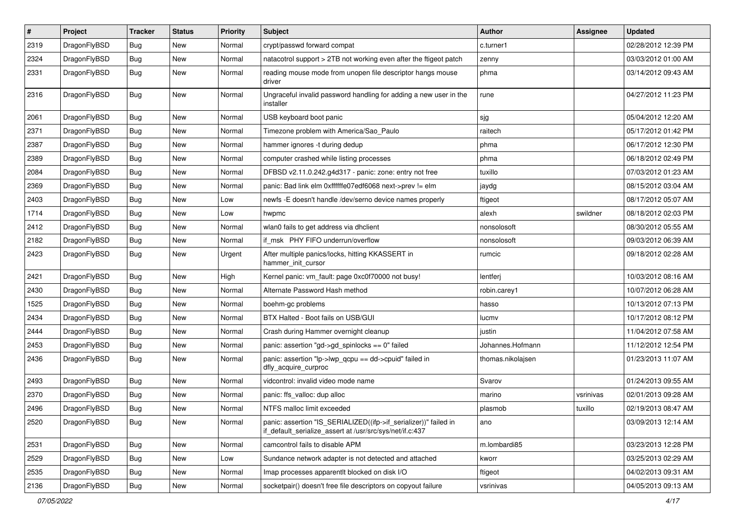| $\pmb{\#}$ | Project      | <b>Tracker</b> | <b>Status</b> | <b>Priority</b> | <b>Subject</b>                                                                                                               | <b>Author</b>     | <b>Assignee</b> | <b>Updated</b>      |
|------------|--------------|----------------|---------------|-----------------|------------------------------------------------------------------------------------------------------------------------------|-------------------|-----------------|---------------------|
| 2319       | DragonFlyBSD | Bug            | <b>New</b>    | Normal          | crypt/passwd forward compat                                                                                                  | c.turner1         |                 | 02/28/2012 12:39 PM |
| 2324       | DragonFlyBSD | Bug            | <b>New</b>    | Normal          | natacotrol support > 2TB not working even after the ftigeot patch                                                            | zenny             |                 | 03/03/2012 01:00 AM |
| 2331       | DragonFlyBSD | Bug            | New           | Normal          | reading mouse mode from unopen file descriptor hangs mouse<br>driver                                                         | phma              |                 | 03/14/2012 09:43 AM |
| 2316       | DragonFlyBSD | Bug            | New           | Normal          | Ungraceful invalid password handling for adding a new user in the<br>installer                                               | rune              |                 | 04/27/2012 11:23 PM |
| 2061       | DragonFlyBSD | Bug            | <b>New</b>    | Normal          | USB keyboard boot panic                                                                                                      | sjg               |                 | 05/04/2012 12:20 AM |
| 2371       | DragonFlyBSD | Bug            | New           | Normal          | Timezone problem with America/Sao_Paulo                                                                                      | raitech           |                 | 05/17/2012 01:42 PM |
| 2387       | DragonFlyBSD | Bug            | <b>New</b>    | Normal          | hammer ignores -t during dedup                                                                                               | phma              |                 | 06/17/2012 12:30 PM |
| 2389       | DragonFlyBSD | Bug            | <b>New</b>    | Normal          | computer crashed while listing processes                                                                                     | phma              |                 | 06/18/2012 02:49 PM |
| 2084       | DragonFlyBSD | Bug            | <b>New</b>    | Normal          | DFBSD v2.11.0.242.g4d317 - panic: zone: entry not free                                                                       | tuxillo           |                 | 07/03/2012 01:23 AM |
| 2369       | DragonFlyBSD | Bug            | New           | Normal          | panic: Bad link elm 0xffffffe07edf6068 next->prev != elm                                                                     | jaydg             |                 | 08/15/2012 03:04 AM |
| 2403       | DragonFlyBSD | Bug            | New           | Low             | newfs -E doesn't handle /dev/serno device names properly                                                                     | ftigeot           |                 | 08/17/2012 05:07 AM |
| 1714       | DragonFlyBSD | Bug            | New           | Low             | hwpmc                                                                                                                        | alexh             | swildner        | 08/18/2012 02:03 PM |
| 2412       | DragonFlyBSD | Bug            | <b>New</b>    | Normal          | wlan0 fails to get address via dhclient                                                                                      | nonsolosoft       |                 | 08/30/2012 05:55 AM |
| 2182       | DragonFlyBSD | Bug            | New           | Normal          | if msk PHY FIFO underrun/overflow                                                                                            | nonsolosoft       |                 | 09/03/2012 06:39 AM |
| 2423       | DragonFlyBSD | Bug            | <b>New</b>    | Urgent          | After multiple panics/locks, hitting KKASSERT in<br>hammer_init_cursor                                                       | rumcic            |                 | 09/18/2012 02:28 AM |
| 2421       | DragonFlyBSD | Bug            | New           | High            | Kernel panic: vm fault: page 0xc0f70000 not busy!                                                                            | lentferj          |                 | 10/03/2012 08:16 AM |
| 2430       | DragonFlyBSD | Bug            | New           | Normal          | Alternate Password Hash method                                                                                               | robin.carey1      |                 | 10/07/2012 06:28 AM |
| 1525       | DragonFlyBSD | Bug            | <b>New</b>    | Normal          | boehm-gc problems                                                                                                            | hasso             |                 | 10/13/2012 07:13 PM |
| 2434       | DragonFlyBSD | Bug            | <b>New</b>    | Normal          | BTX Halted - Boot fails on USB/GUI                                                                                           | lucmv             |                 | 10/17/2012 08:12 PM |
| 2444       | DragonFlyBSD | Bug            | <b>New</b>    | Normal          | Crash during Hammer overnight cleanup                                                                                        | justin            |                 | 11/04/2012 07:58 AM |
| 2453       | DragonFlyBSD | Bug            | New           | Normal          | panic: assertion "gd->gd_spinlocks == $0$ " failed                                                                           | Johannes.Hofmann  |                 | 11/12/2012 12:54 PM |
| 2436       | DragonFlyBSD | Bug            | New           | Normal          | panic: assertion "lp->lwp_qcpu == dd->cpuid" failed in<br>dfly_acquire_curproc                                               | thomas.nikolajsen |                 | 01/23/2013 11:07 AM |
| 2493       | DragonFlyBSD | Bug            | <b>New</b>    | Normal          | vidcontrol: invalid video mode name                                                                                          | Svarov            |                 | 01/24/2013 09:55 AM |
| 2370       | DragonFlyBSD | Bug            | New           | Normal          | panic: ffs_valloc: dup alloc                                                                                                 | marino            | vsrinivas       | 02/01/2013 09:28 AM |
| 2496       | DragonFlyBSD | <b>Bug</b>     | New           | Normal          | NTFS malloc limit exceeded                                                                                                   | plasmob           | tuxillo         | 02/19/2013 08:47 AM |
| 2520       | DragonFlyBSD | <b>Bug</b>     | New           | Normal          | panic: assertion "IS_SERIALIZED((ifp->if_serializer))" failed in<br>if default serialize assert at /usr/src/sys/net/if.c:437 | ano               |                 | 03/09/2013 12:14 AM |
| 2531       | DragonFlyBSD | <b>Bug</b>     | New           | Normal          | camcontrol fails to disable APM                                                                                              | m.lombardi85      |                 | 03/23/2013 12:28 PM |
| 2529       | DragonFlyBSD | Bug            | New           | Low             | Sundance network adapter is not detected and attached                                                                        | kworr             |                 | 03/25/2013 02:29 AM |
| 2535       | DragonFlyBSD | <b>Bug</b>     | New           | Normal          | Imap processes apparentlt blocked on disk I/O                                                                                | ftigeot           |                 | 04/02/2013 09:31 AM |
| 2136       | DragonFlyBSD | Bug            | New           | Normal          | socketpair() doesn't free file descriptors on copyout failure                                                                | vsrinivas         |                 | 04/05/2013 09:13 AM |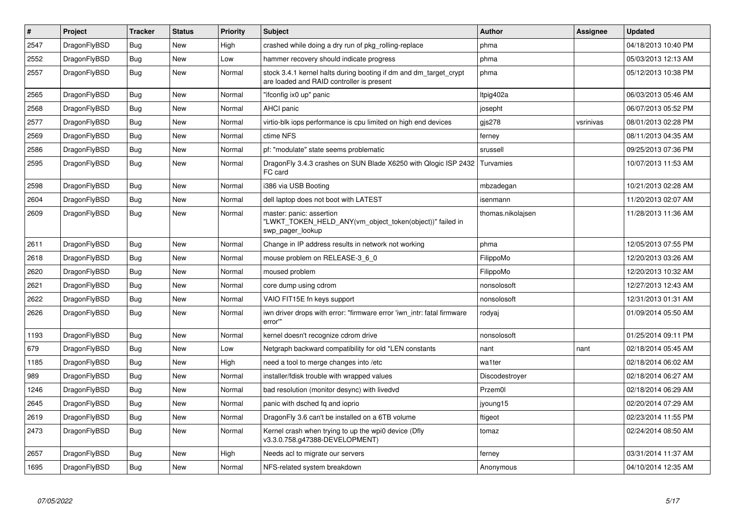| $\vert$ # | Project      | <b>Tracker</b> | <b>Status</b> | <b>Priority</b> | <b>Subject</b>                                                                                                 | <b>Author</b>     | Assignee  | <b>Updated</b>      |
|-----------|--------------|----------------|---------------|-----------------|----------------------------------------------------------------------------------------------------------------|-------------------|-----------|---------------------|
| 2547      | DragonFlyBSD | <b>Bug</b>     | <b>New</b>    | High            | crashed while doing a dry run of pkg_rolling-replace                                                           | phma              |           | 04/18/2013 10:40 PM |
| 2552      | DragonFlyBSD | Bug            | New           | Low             | hammer recovery should indicate progress                                                                       | phma              |           | 05/03/2013 12:13 AM |
| 2557      | DragonFlyBSD | Bug            | New           | Normal          | stock 3.4.1 kernel halts during booting if dm and dm target crypt<br>are loaded and RAID controller is present | phma              |           | 05/12/2013 10:38 PM |
| 2565      | DragonFlyBSD | Bug            | New           | Normal          | "ifconfig ix0 up" panic                                                                                        | Itpig402a         |           | 06/03/2013 05:46 AM |
| 2568      | DragonFlyBSD | <b>Bug</b>     | <b>New</b>    | Normal          | <b>AHCI</b> panic                                                                                              | josepht           |           | 06/07/2013 05:52 PM |
| 2577      | DragonFlyBSD | Bug            | New           | Normal          | virtio-blk iops performance is cpu limited on high end devices                                                 | gjs278            | vsrinivas | 08/01/2013 02:28 PM |
| 2569      | DragonFlyBSD | <b>Bug</b>     | <b>New</b>    | Normal          | ctime NFS                                                                                                      | ferney            |           | 08/11/2013 04:35 AM |
| 2586      | DragonFlyBSD | <b>Bug</b>     | <b>New</b>    | Normal          | pf: "modulate" state seems problematic                                                                         | srussell          |           | 09/25/2013 07:36 PM |
| 2595      | DragonFlyBSD | <b>Bug</b>     | <b>New</b>    | Normal          | DragonFly 3.4.3 crashes on SUN Blade X6250 with Qlogic ISP 2432<br>FC card                                     | Turvamies         |           | 10/07/2013 11:53 AM |
| 2598      | DragonFlyBSD | Bug            | <b>New</b>    | Normal          | i386 via USB Booting                                                                                           | mbzadegan         |           | 10/21/2013 02:28 AM |
| 2604      | DragonFlyBSD | Bug            | <b>New</b>    | Normal          | dell laptop does not boot with LATEST                                                                          | isenmann          |           | 11/20/2013 02:07 AM |
| 2609      | DragonFlyBSD | Bug            | New           | Normal          | master: panic: assertion<br>"LWKT_TOKEN_HELD_ANY(vm_object_token(object))" failed in<br>swp pager lookup       | thomas.nikolajsen |           | 11/28/2013 11:36 AM |
| 2611      | DragonFlyBSD | <b>Bug</b>     | New           | Normal          | Change in IP address results in network not working                                                            | phma              |           | 12/05/2013 07:55 PM |
| 2618      | DragonFlyBSD | Bug            | <b>New</b>    | Normal          | mouse problem on RELEASE-3 6 0                                                                                 | FilippoMo         |           | 12/20/2013 03:26 AM |
| 2620      | DragonFlyBSD | <b>Bug</b>     | <b>New</b>    | Normal          | moused problem                                                                                                 | FilippoMo         |           | 12/20/2013 10:32 AM |
| 2621      | DragonFlyBSD | Bug            | New           | Normal          | core dump using cdrom                                                                                          | nonsolosoft       |           | 12/27/2013 12:43 AM |
| 2622      | DragonFlyBSD | <b>Bug</b>     | <b>New</b>    | Normal          | VAIO FIT15E fn keys support                                                                                    | nonsolosoft       |           | 12/31/2013 01:31 AM |
| 2626      | DragonFlyBSD | <b>Bug</b>     | New           | Normal          | iwn driver drops with error: "firmware error 'iwn intr: fatal firmware<br>error"                               | rodyaj            |           | 01/09/2014 05:50 AM |
| 1193      | DragonFlyBSD | <b>Bug</b>     | <b>New</b>    | Normal          | kernel doesn't recognize cdrom drive                                                                           | nonsolosoft       |           | 01/25/2014 09:11 PM |
| 679       | DragonFlyBSD | Bug            | <b>New</b>    | Low             | Netgraph backward compatibility for old *LEN constants                                                         | nant              | nant      | 02/18/2014 05:45 AM |
| 1185      | DragonFlyBSD | <b>Bug</b>     | <b>New</b>    | High            | need a tool to merge changes into /etc                                                                         | wa1ter            |           | 02/18/2014 06:02 AM |
| 989       | DragonFlyBSD | Bug            | <b>New</b>    | Normal          | installer/fdisk trouble with wrapped values                                                                    | Discodestroyer    |           | 02/18/2014 06:27 AM |
| 1246      | DragonFlyBSD | <b>Bug</b>     | New           | Normal          | bad resolution (monitor desync) with livedvd                                                                   | Przem0l           |           | 02/18/2014 06:29 AM |
| 2645      | DragonFlyBSD | Bug            | New           | Normal          | panic with dsched fq and ioprio                                                                                | jyoung15          |           | 02/20/2014 07:29 AM |
| 2619      | DragonFlyBSD | Bug            | New           | Normal          | DragonFly 3.6 can't be installed on a 6TB volume                                                               | ftigeot           |           | 02/23/2014 11:55 PM |
| 2473      | DragonFlyBSD | Bug            | New           | Normal          | Kernel crash when trying to up the wpi0 device (Dfly<br>v3.3.0.758.g47388-DEVELOPMENT)                         | tomaz             |           | 02/24/2014 08:50 AM |
| 2657      | DragonFlyBSD | Bug            | New           | High            | Needs acl to migrate our servers                                                                               | ferney            |           | 03/31/2014 11:37 AM |
| 1695      | DragonFlyBSD | Bug            | <b>New</b>    | Normal          | NFS-related system breakdown                                                                                   | Anonymous         |           | 04/10/2014 12:35 AM |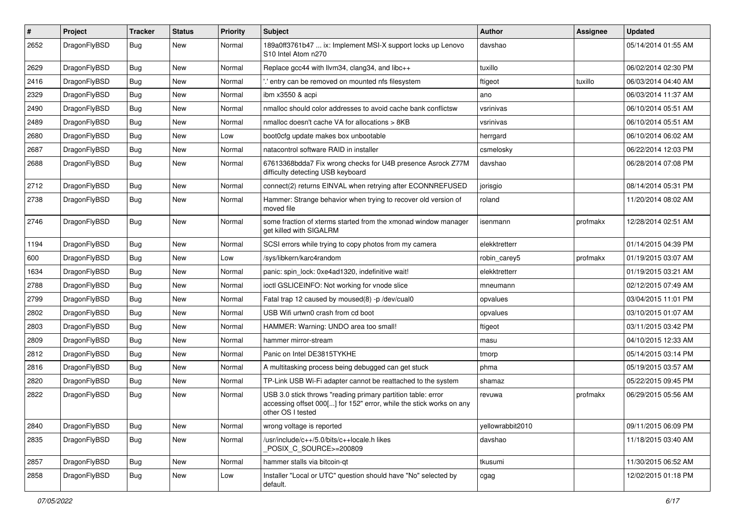| $\sharp$ | Project      | <b>Tracker</b> | <b>Status</b> | <b>Priority</b> | Subject                                                                                                                                                  | Author           | Assignee | <b>Updated</b>      |
|----------|--------------|----------------|---------------|-----------------|----------------------------------------------------------------------------------------------------------------------------------------------------------|------------------|----------|---------------------|
| 2652     | DragonFlyBSD | Bug            | <b>New</b>    | Normal          | 189a0ff3761b47  ix: Implement MSI-X support locks up Lenovo<br>S10 Intel Atom n270                                                                       | davshao          |          | 05/14/2014 01:55 AM |
| 2629     | DragonFlyBSD | Bug            | <b>New</b>    | Normal          | Replace gcc44 with llvm34, clang34, and libc++                                                                                                           | tuxillo          |          | 06/02/2014 02:30 PM |
| 2416     | DragonFlyBSD | <b>Bug</b>     | New           | Normal          | ' entry can be removed on mounted nfs filesystem                                                                                                         | ftigeot          | tuxillo  | 06/03/2014 04:40 AM |
| 2329     | DragonFlyBSD | Bug            | <b>New</b>    | Normal          | ibm x3550 & acpi                                                                                                                                         | ano              |          | 06/03/2014 11:37 AM |
| 2490     | DragonFlyBSD | <b>Bug</b>     | New           | Normal          | nmalloc should color addresses to avoid cache bank conflictsw                                                                                            | vsrinivas        |          | 06/10/2014 05:51 AM |
| 2489     | DragonFlyBSD | <b>Bug</b>     | <b>New</b>    | Normal          | nmalloc doesn't cache VA for allocations > 8KB                                                                                                           | vsrinivas        |          | 06/10/2014 05:51 AM |
| 2680     | DragonFlyBSD | <b>Bug</b>     | New           | Low             | boot0cfg update makes box unbootable                                                                                                                     | herrgard         |          | 06/10/2014 06:02 AM |
| 2687     | DragonFlyBSD | <b>Bug</b>     | New           | Normal          | natacontrol software RAID in installer                                                                                                                   | csmelosky        |          | 06/22/2014 12:03 PM |
| 2688     | DragonFlyBSD | Bug            | <b>New</b>    | Normal          | 67613368bdda7 Fix wrong checks for U4B presence Asrock Z77M<br>difficulty detecting USB keyboard                                                         | davshao          |          | 06/28/2014 07:08 PM |
| 2712     | DragonFlyBSD | Bug            | <b>New</b>    | Normal          | connect(2) returns EINVAL when retrying after ECONNREFUSED                                                                                               | jorisgio         |          | 08/14/2014 05:31 PM |
| 2738     | DragonFlyBSD | Bug            | <b>New</b>    | Normal          | Hammer: Strange behavior when trying to recover old version of<br>moved file                                                                             | roland           |          | 11/20/2014 08:02 AM |
| 2746     | DragonFlyBSD | Bug            | <b>New</b>    | Normal          | some fraction of xterms started from the xmonad window manager<br>get killed with SIGALRM                                                                | isenmann         | profmakx | 12/28/2014 02:51 AM |
| 1194     | DragonFlyBSD | Bug            | <b>New</b>    | Normal          | SCSI errors while trying to copy photos from my camera                                                                                                   | elekktretterr    |          | 01/14/2015 04:39 PM |
| 600      | DragonFlyBSD | Bug            | <b>New</b>    | Low             | /sys/libkern/karc4random                                                                                                                                 | robin carey5     | profmakx | 01/19/2015 03:07 AM |
| 1634     | DragonFlyBSD | <b>Bug</b>     | <b>New</b>    | Normal          | panic: spin_lock: 0xe4ad1320, indefinitive wait!                                                                                                         | elekktretterr    |          | 01/19/2015 03:21 AM |
| 2788     | DragonFlyBSD | <b>Bug</b>     | New           | Normal          | ioctl GSLICEINFO: Not working for vnode slice                                                                                                            | mneumann         |          | 02/12/2015 07:49 AM |
| 2799     | DragonFlyBSD | Bug            | <b>New</b>    | Normal          | Fatal trap 12 caused by moused(8) -p /dev/cual0                                                                                                          | opvalues         |          | 03/04/2015 11:01 PM |
| 2802     | DragonFlyBSD | <b>Bug</b>     | <b>New</b>    | Normal          | USB Wifi urtwn0 crash from cd boot                                                                                                                       | opvalues         |          | 03/10/2015 01:07 AM |
| 2803     | DragonFlyBSD | <b>Bug</b>     | <b>New</b>    | Normal          | HAMMER: Warning: UNDO area too small!                                                                                                                    | ftigeot          |          | 03/11/2015 03:42 PM |
| 2809     | DragonFlyBSD | <b>Bug</b>     | New           | Normal          | hammer mirror-stream                                                                                                                                     | masu             |          | 04/10/2015 12:33 AM |
| 2812     | DragonFlyBSD | <b>Bug</b>     | New           | Normal          | Panic on Intel DE3815TYKHE                                                                                                                               | tmorp            |          | 05/14/2015 03:14 PM |
| 2816     | DragonFlyBSD | Bug            | <b>New</b>    | Normal          | A multitasking process being debugged can get stuck                                                                                                      | phma             |          | 05/19/2015 03:57 AM |
| 2820     | DragonFlyBSD | <b>Bug</b>     | <b>New</b>    | Normal          | TP-Link USB Wi-Fi adapter cannot be reattached to the system                                                                                             | shamaz           |          | 05/22/2015 09:45 PM |
| 2822     | DragonFlyBSD | Bug            | <b>New</b>    | Normal          | USB 3.0 stick throws "reading primary partition table: error<br>accessing offset 000[] for 152" error, while the stick works on any<br>other OS I tested | revuwa           | profmakx | 06/29/2015 05:56 AM |
| 2840     | DragonFlyBSD | Bug            | New           | Normal          | wrong voltage is reported                                                                                                                                | yellowrabbit2010 |          | 09/11/2015 06:09 PM |
| 2835     | DragonFlyBSD | <b>Bug</b>     | New           | Normal          | /usr/include/c++/5.0/bits/c++locale.h likes<br>POSIX_C_SOURCE>=200809                                                                                    | davshao          |          | 11/18/2015 03:40 AM |
| 2857     | DragonFlyBSD | <b>Bug</b>     | New           | Normal          | hammer stalls via bitcoin-qt                                                                                                                             | tkusumi          |          | 11/30/2015 06:52 AM |
| 2858     | DragonFlyBSD | Bug            | New           | Low             | Installer "Local or UTC" question should have "No" selected by<br>default.                                                                               | cgag             |          | 12/02/2015 01:18 PM |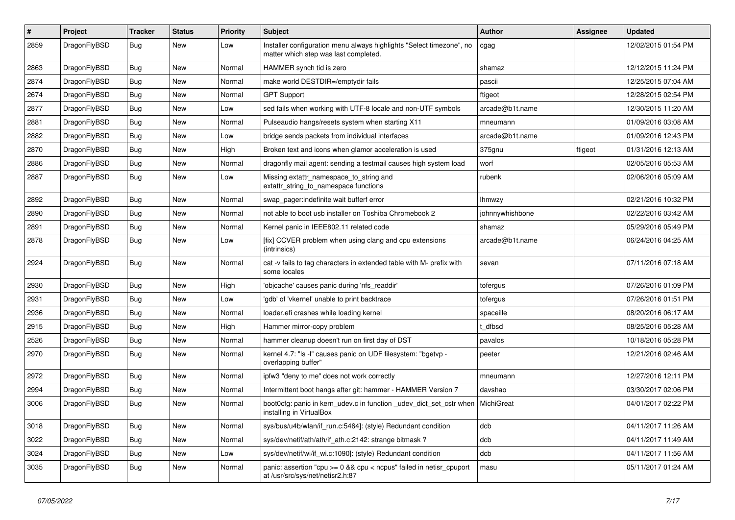| #    | Project      | <b>Tracker</b> | <b>Status</b> | <b>Priority</b> | Subject                                                                                                       | Author          | Assignee | <b>Updated</b>      |
|------|--------------|----------------|---------------|-----------------|---------------------------------------------------------------------------------------------------------------|-----------------|----------|---------------------|
| 2859 | DragonFlyBSD | <b>Bug</b>     | <b>New</b>    | Low             | Installer configuration menu always highlights "Select timezone", no<br>matter which step was last completed. | cgag            |          | 12/02/2015 01:54 PM |
| 2863 | DragonFlyBSD | <b>Bug</b>     | <b>New</b>    | Normal          | HAMMER synch tid is zero                                                                                      | shamaz          |          | 12/12/2015 11:24 PM |
| 2874 | DragonFlyBSD | <b>Bug</b>     | New           | Normal          | make world DESTDIR=/emptydir fails                                                                            | pascii          |          | 12/25/2015 07:04 AM |
| 2674 | DragonFlyBSD | <b>Bug</b>     | <b>New</b>    | Normal          | <b>GPT Support</b>                                                                                            | ftigeot         |          | 12/28/2015 02:54 PM |
| 2877 | DragonFlyBSD | <b>Bug</b>     | <b>New</b>    | Low             | sed fails when working with UTF-8 locale and non-UTF symbols                                                  | arcade@b1t.name |          | 12/30/2015 11:20 AM |
| 2881 | DragonFlyBSD | Bug            | <b>New</b>    | Normal          | Pulseaudio hangs/resets system when starting X11                                                              | mneumann        |          | 01/09/2016 03:08 AM |
| 2882 | DragonFlyBSD | <b>Bug</b>     | New           | Low             | bridge sends packets from individual interfaces                                                               | arcade@b1t.name |          | 01/09/2016 12:43 PM |
| 2870 | DragonFlyBSD | <b>Bug</b>     | New           | High            | Broken text and icons when glamor acceleration is used                                                        | 375gnu          | ftigeot  | 01/31/2016 12:13 AM |
| 2886 | DragonFlyBSD | Bug            | <b>New</b>    | Normal          | dragonfly mail agent: sending a testmail causes high system load                                              | worf            |          | 02/05/2016 05:53 AM |
| 2887 | DragonFlyBSD | <b>Bug</b>     | New           | Low             | Missing extattr_namespace_to_string and<br>extattr_string_to_namespace functions                              | rubenk          |          | 02/06/2016 05:09 AM |
| 2892 | DragonFlyBSD | Bug            | <b>New</b>    | Normal          | swap_pager:indefinite wait bufferf error                                                                      | <b>Ihmwzy</b>   |          | 02/21/2016 10:32 PM |
| 2890 | DragonFlyBSD | <b>Bug</b>     | <b>New</b>    | Normal          | not able to boot usb installer on Toshiba Chromebook 2                                                        | johnnywhishbone |          | 02/22/2016 03:42 AM |
| 2891 | DragonFlyBSD | Bug            | <b>New</b>    | Normal          | Kernel panic in IEEE802.11 related code                                                                       | shamaz          |          | 05/29/2016 05:49 PM |
| 2878 | DragonFlyBSD | Bug            | <b>New</b>    | Low             | [fix] CCVER problem when using clang and cpu extensions<br>(intrinsics)                                       | arcade@b1t.name |          | 06/24/2016 04:25 AM |
| 2924 | DragonFlyBSD | <b>Bug</b>     | <b>New</b>    | Normal          | cat -v fails to tag characters in extended table with M- prefix with<br>some locales                          | sevan           |          | 07/11/2016 07:18 AM |
| 2930 | DragonFlyBSD | Bug            | <b>New</b>    | High            | 'objcache' causes panic during 'nfs_readdir'                                                                  | tofergus        |          | 07/26/2016 01:09 PM |
| 2931 | DragonFlyBSD | <b>Bug</b>     | <b>New</b>    | Low             | 'gdb' of 'vkernel' unable to print backtrace                                                                  | tofergus        |          | 07/26/2016 01:51 PM |
| 2936 | DragonFlyBSD | <b>Bug</b>     | <b>New</b>    | Normal          | loader.efi crashes while loading kernel                                                                       | spaceille       |          | 08/20/2016 06:17 AM |
| 2915 | DragonFlyBSD | <b>Bug</b>     | <b>New</b>    | High            | Hammer mirror-copy problem                                                                                    | : dfbsd         |          | 08/25/2016 05:28 AM |
| 2526 | DragonFlyBSD | <b>Bug</b>     | <b>New</b>    | Normal          | hammer cleanup doesn't run on first day of DST                                                                | pavalos         |          | 10/18/2016 05:28 PM |
| 2970 | DragonFlyBSD | <b>Bug</b>     | New           | Normal          | kernel 4.7: "Is -I" causes panic on UDF filesystem: "bgetvp -<br>overlapping buffer"                          | peeter          |          | 12/21/2016 02:46 AM |
| 2972 | DragonFlyBSD | Bug            | <b>New</b>    | Normal          | ipfw3 "deny to me" does not work correctly                                                                    | mneumann        |          | 12/27/2016 12:11 PM |
| 2994 | DragonFlyBSD | <b>Bug</b>     | <b>New</b>    | Normal          | Intermittent boot hangs after git: hammer - HAMMER Version 7                                                  | davshao         |          | 03/30/2017 02:06 PM |
| 3006 | DragonFlyBSD | Bug            | <b>New</b>    | Normal          | boot0cfg: panic in kern_udev.c in function _udev_dict_set_cstr when<br>installing in VirtualBox               | MichiGreat      |          | 04/01/2017 02:22 PM |
| 3018 | DragonFlyBSD | <b>Bug</b>     | New           | Normal          | sys/bus/u4b/wlan/if_run.c:5464]: (style) Redundant condition                                                  | dcb             |          | 04/11/2017 11:26 AM |
| 3022 | DragonFlyBSD | Bug            | New           | Normal          | sys/dev/netif/ath/ath/if_ath.c:2142: strange bitmask?                                                         | dcb             |          | 04/11/2017 11:49 AM |
| 3024 | DragonFlyBSD | <b>Bug</b>     | New           | Low             | sys/dev/netif/wi/if_wi.c:1090]: (style) Redundant condition                                                   | dcb             |          | 04/11/2017 11:56 AM |
| 3035 | DragonFlyBSD | Bug            | New           | Normal          | panic: assertion "cpu >= 0 && cpu < ncpus" failed in netisr_cpuport<br>at /usr/src/sys/net/netisr2.h:87       | masu            |          | 05/11/2017 01:24 AM |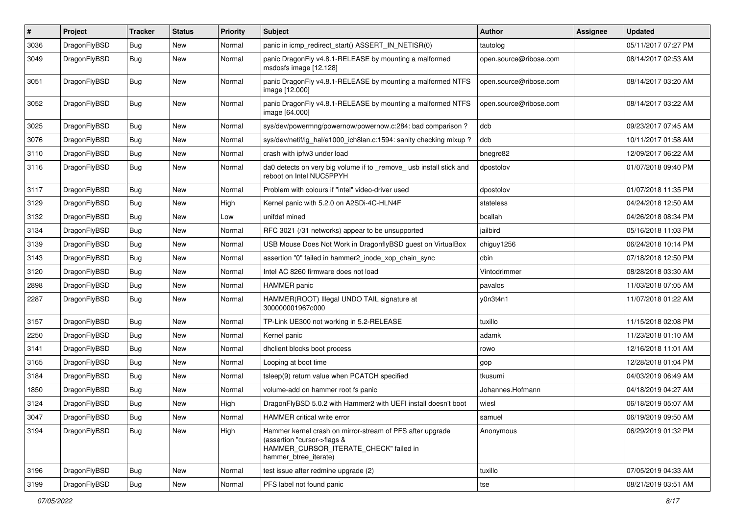| $\pmb{\#}$ | Project      | <b>Tracker</b> | <b>Status</b> | <b>Priority</b> | Subject                                                                                                                                                     | <b>Author</b>          | Assignee | <b>Updated</b>      |
|------------|--------------|----------------|---------------|-----------------|-------------------------------------------------------------------------------------------------------------------------------------------------------------|------------------------|----------|---------------------|
| 3036       | DragonFlyBSD | Bug            | New           | Normal          | panic in icmp_redirect_start() ASSERT_IN_NETISR(0)                                                                                                          | tautolog               |          | 05/11/2017 07:27 PM |
| 3049       | DragonFlyBSD | Bug            | New           | Normal          | panic DragonFly v4.8.1-RELEASE by mounting a malformed<br>msdosfs image [12.128]                                                                            | open.source@ribose.com |          | 08/14/2017 02:53 AM |
| 3051       | DragonFlyBSD | Bug            | New           | Normal          | panic DragonFly v4.8.1-RELEASE by mounting a malformed NTFS<br>image [12.000]                                                                               | open.source@ribose.com |          | 08/14/2017 03:20 AM |
| 3052       | DragonFlyBSD | Bug            | New           | Normal          | panic DragonFly v4.8.1-RELEASE by mounting a malformed NTFS<br>image [64.000]                                                                               | open.source@ribose.com |          | 08/14/2017 03:22 AM |
| 3025       | DragonFlyBSD | <b>Bug</b>     | <b>New</b>    | Normal          | sys/dev/powermng/powernow/powernow.c:284: bad comparison?                                                                                                   | dcb                    |          | 09/23/2017 07:45 AM |
| 3076       | DragonFlyBSD | Bug            | <b>New</b>    | Normal          | sys/dev/netif/ig_hal/e1000_ich8lan.c:1594: sanity checking mixup?                                                                                           | dcb                    |          | 10/11/2017 01:58 AM |
| 3110       | DragonFlyBSD | Bug            | <b>New</b>    | Normal          | crash with ipfw3 under load                                                                                                                                 | bnegre82               |          | 12/09/2017 06:22 AM |
| 3116       | DragonFlyBSD | Bug            | New           | Normal          | da0 detects on very big volume if to _remove_ usb install stick and<br>reboot on Intel NUC5PPYH                                                             | dpostolov              |          | 01/07/2018 09:40 PM |
| 3117       | DragonFlyBSD | Bug            | <b>New</b>    | Normal          | Problem with colours if "intel" video-driver used                                                                                                           | dpostolov              |          | 01/07/2018 11:35 PM |
| 3129       | DragonFlyBSD | <b>Bug</b>     | New           | High            | Kernel panic with 5.2.0 on A2SDi-4C-HLN4F                                                                                                                   | stateless              |          | 04/24/2018 12:50 AM |
| 3132       | DragonFlyBSD | Bug            | <b>New</b>    | Low             | unifdef mined                                                                                                                                               | bcallah                |          | 04/26/2018 08:34 PM |
| 3134       | DragonFlyBSD | Bug            | New           | Normal          | RFC 3021 (/31 networks) appear to be unsupported                                                                                                            | jailbird               |          | 05/16/2018 11:03 PM |
| 3139       | DragonFlyBSD | Bug            | <b>New</b>    | Normal          | USB Mouse Does Not Work in DragonflyBSD guest on VirtualBox                                                                                                 | chiguy1256             |          | 06/24/2018 10:14 PM |
| 3143       | DragonFlyBSD | Bug            | <b>New</b>    | Normal          | assertion "0" failed in hammer2 inode xop chain sync                                                                                                        | cbin                   |          | 07/18/2018 12:50 PM |
| 3120       | DragonFlyBSD | Bug            | New           | Normal          | Intel AC 8260 firmware does not load                                                                                                                        | Vintodrimmer           |          | 08/28/2018 03:30 AM |
| 2898       | DragonFlyBSD | Bug            | New           | Normal          | <b>HAMMER</b> panic                                                                                                                                         | pavalos                |          | 11/03/2018 07:05 AM |
| 2287       | DragonFlyBSD | Bug            | New           | Normal          | HAMMER(ROOT) Illegal UNDO TAIL signature at<br>300000001967c000                                                                                             | y0n3t4n1               |          | 11/07/2018 01:22 AM |
| 3157       | DragonFlyBSD | Bug            | <b>New</b>    | Normal          | TP-Link UE300 not working in 5.2-RELEASE                                                                                                                    | tuxillo                |          | 11/15/2018 02:08 PM |
| 2250       | DragonFlyBSD | Bug            | New           | Normal          | Kernel panic                                                                                                                                                | adamk                  |          | 11/23/2018 01:10 AM |
| 3141       | DragonFlyBSD | Bug            | <b>New</b>    | Normal          | dhclient blocks boot process                                                                                                                                | rowo                   |          | 12/16/2018 11:01 AM |
| 3165       | DragonFlyBSD | Bug            | <b>New</b>    | Normal          | Looping at boot time                                                                                                                                        | gop                    |          | 12/28/2018 01:04 PM |
| 3184       | DragonFlyBSD | Bug            | New           | Normal          | tsleep(9) return value when PCATCH specified                                                                                                                | tkusumi                |          | 04/03/2019 06:49 AM |
| 1850       | DragonFlyBSD | Bug            | <b>New</b>    | Normal          | volume-add on hammer root fs panic                                                                                                                          | Johannes.Hofmann       |          | 04/18/2019 04:27 AM |
| 3124       | DragonFlyBSD | Bug            | New           | High            | DragonFlyBSD 5.0.2 with Hammer2 with UEFI install doesn't boot                                                                                              | wiesl                  |          | 06/18/2019 05:07 AM |
| 3047       | DragonFlyBSD | Bug            | New           | Normal          | HAMMER critical write error                                                                                                                                 | samuel                 |          | 06/19/2019 09:50 AM |
| 3194       | DragonFlyBSD | Bug            | New           | High            | Hammer kernel crash on mirror-stream of PFS after upgrade<br>(assertion "cursor->flags &<br>HAMMER_CURSOR_ITERATE_CHECK" failed in<br>hammer_btree_iterate) | Anonymous              |          | 06/29/2019 01:32 PM |
| 3196       | DragonFlyBSD | <b>Bug</b>     | <b>New</b>    | Normal          | test issue after redmine upgrade (2)                                                                                                                        | tuxillo                |          | 07/05/2019 04:33 AM |
| 3199       | DragonFlyBSD | <b>Bug</b>     | New           | Normal          | PFS label not found panic                                                                                                                                   | tse                    |          | 08/21/2019 03:51 AM |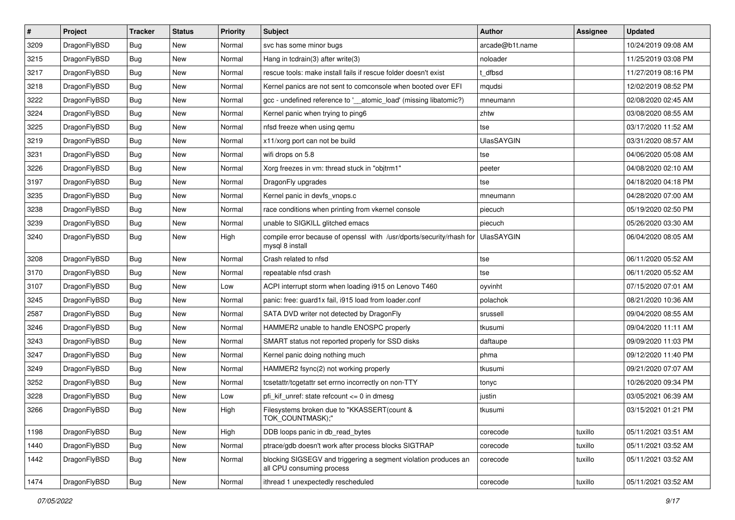| $\pmb{\#}$ | Project      | <b>Tracker</b> | <b>Status</b> | <b>Priority</b> | <b>Subject</b>                                                                               | <b>Author</b>     | <b>Assignee</b> | <b>Updated</b>      |
|------------|--------------|----------------|---------------|-----------------|----------------------------------------------------------------------------------------------|-------------------|-----------------|---------------------|
| 3209       | DragonFlyBSD | Bug            | <b>New</b>    | Normal          | svc has some minor bugs                                                                      | arcade@b1t.name   |                 | 10/24/2019 09:08 AM |
| 3215       | DragonFlyBSD | Bug            | <b>New</b>    | Normal          | Hang in tcdrain(3) after write(3)                                                            | noloader          |                 | 11/25/2019 03:08 PM |
| 3217       | DragonFlyBSD | <b>Bug</b>     | New           | Normal          | rescue tools: make install fails if rescue folder doesn't exist                              | t dfbsd           |                 | 11/27/2019 08:16 PM |
| 3218       | DragonFlyBSD | <b>Bug</b>     | New           | Normal          | Kernel panics are not sent to comconsole when booted over EFI                                | mqudsi            |                 | 12/02/2019 08:52 PM |
| 3222       | DragonFlyBSD | Bug            | New           | Normal          | gcc - undefined reference to '__atomic_load' (missing libatomic?)                            | mneumann          |                 | 02/08/2020 02:45 AM |
| 3224       | DragonFlyBSD | <b>Bug</b>     | New           | Normal          | Kernel panic when trying to ping6                                                            | zhtw              |                 | 03/08/2020 08:55 AM |
| 3225       | DragonFlyBSD | Bug            | <b>New</b>    | Normal          | nfsd freeze when using qemu                                                                  | tse               |                 | 03/17/2020 11:52 AM |
| 3219       | DragonFlyBSD | Bug            | New           | Normal          | x11/xorg port can not be build                                                               | <b>UlasSAYGIN</b> |                 | 03/31/2020 08:57 AM |
| 3231       | DragonFlyBSD | <b>Bug</b>     | New           | Normal          | wifi drops on 5.8                                                                            | tse               |                 | 04/06/2020 05:08 AM |
| 3226       | DragonFlyBSD | Bug            | <b>New</b>    | Normal          | Xorg freezes in vm: thread stuck in "objtrm1"                                                | peeter            |                 | 04/08/2020 02:10 AM |
| 3197       | DragonFlyBSD | Bug            | <b>New</b>    | Normal          | DragonFly upgrades                                                                           | tse               |                 | 04/18/2020 04:18 PM |
| 3235       | DragonFlyBSD | Bug            | New           | Normal          | Kernel panic in devfs vnops.c                                                                | mneumann          |                 | 04/28/2020 07:00 AM |
| 3238       | DragonFlyBSD | Bug            | New           | Normal          | race conditions when printing from vkernel console                                           | piecuch           |                 | 05/19/2020 02:50 PM |
| 3239       | DragonFlyBSD | Bug            | New           | Normal          | unable to SIGKILL glitched emacs                                                             | piecuch           |                 | 05/26/2020 03:30 AM |
| 3240       | DragonFlyBSD | Bug            | <b>New</b>    | High            | compile error because of openssl with /usr/dports/security/rhash for<br>mysql 8 install      | <b>UlasSAYGIN</b> |                 | 06/04/2020 08:05 AM |
| 3208       | DragonFlyBSD | <b>Bug</b>     | <b>New</b>    | Normal          | Crash related to nfsd                                                                        | tse               |                 | 06/11/2020 05:52 AM |
| 3170       | DragonFlyBSD | Bug            | New           | Normal          | repeatable nfsd crash                                                                        | tse               |                 | 06/11/2020 05:52 AM |
| 3107       | DragonFlyBSD | Bug            | New           | Low             | ACPI interrupt storm when loading i915 on Lenovo T460                                        | oyvinht           |                 | 07/15/2020 07:01 AM |
| 3245       | DragonFlyBSD | Bug            | New           | Normal          | panic: free: guard1x fail, i915 load from loader.conf                                        | polachok          |                 | 08/21/2020 10:36 AM |
| 2587       | DragonFlyBSD | Bug            | New           | Normal          | SATA DVD writer not detected by DragonFly                                                    | srussell          |                 | 09/04/2020 08:55 AM |
| 3246       | DragonFlyBSD | Bug            | New           | Normal          | HAMMER2 unable to handle ENOSPC properly                                                     | tkusumi           |                 | 09/04/2020 11:11 AM |
| 3243       | DragonFlyBSD | Bug            | New           | Normal          | SMART status not reported properly for SSD disks                                             | daftaupe          |                 | 09/09/2020 11:03 PM |
| 3247       | DragonFlyBSD | Bug            | <b>New</b>    | Normal          | Kernel panic doing nothing much                                                              | phma              |                 | 09/12/2020 11:40 PM |
| 3249       | DragonFlyBSD | Bug            | New           | Normal          | HAMMER2 fsync(2) not working properly                                                        | tkusumi           |                 | 09/21/2020 07:07 AM |
| 3252       | DragonFlyBSD | <b>Bug</b>     | New           | Normal          | tcsetattr/tcgetattr set errno incorrectly on non-TTY                                         | tonyc             |                 | 10/26/2020 09:34 PM |
| 3228       | DragonFlyBSD | <b>Bug</b>     | New           | Low             | pfi kif unref: state refcount $\leq$ 0 in dmesq                                              | justin            |                 | 03/05/2021 06:39 AM |
| 3266       | DragonFlyBSD | Bug            | New           | High            | Filesystems broken due to "KKASSERT(count &<br>TOK_COUNTMASK);"                              | tkusumi           |                 | 03/15/2021 01:21 PM |
| 1198       | DragonFlyBSD | <b>Bug</b>     | New           | High            | DDB loops panic in db read bytes                                                             | corecode          | tuxillo         | 05/11/2021 03:51 AM |
| 1440       | DragonFlyBSD | <b>Bug</b>     | New           | Normal          | ptrace/gdb doesn't work after process blocks SIGTRAP                                         | corecode          | tuxillo         | 05/11/2021 03:52 AM |
| 1442       | DragonFlyBSD | <b>Bug</b>     | New           | Normal          | blocking SIGSEGV and triggering a segment violation produces an<br>all CPU consuming process | corecode          | tuxillo         | 05/11/2021 03:52 AM |
| 1474       | DragonFlyBSD | <b>Bug</b>     | New           | Normal          | ithread 1 unexpectedly rescheduled                                                           | corecode          | tuxillo         | 05/11/2021 03:52 AM |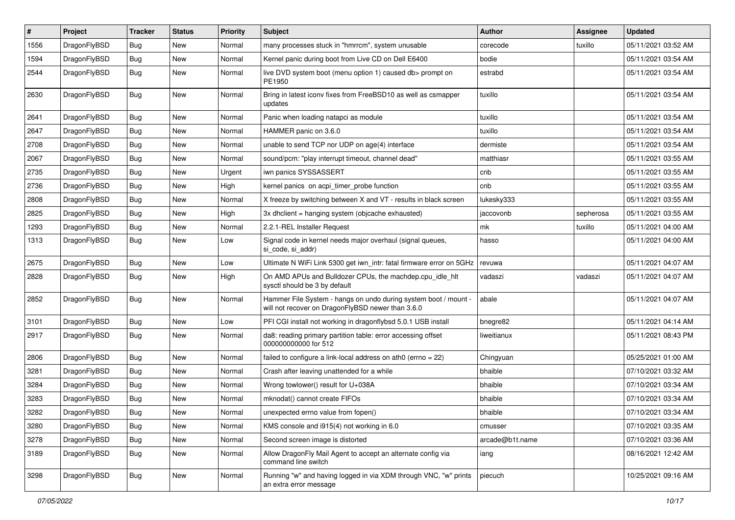| $\sharp$ | Project      | <b>Tracker</b> | <b>Status</b> | <b>Priority</b> | Subject                                                                                                              | <b>Author</b>   | Assignee  | <b>Updated</b>      |
|----------|--------------|----------------|---------------|-----------------|----------------------------------------------------------------------------------------------------------------------|-----------------|-----------|---------------------|
| 1556     | DragonFlyBSD | <b>Bug</b>     | New           | Normal          | many processes stuck in "hmrrcm", system unusable                                                                    | corecode        | tuxillo   | 05/11/2021 03:52 AM |
| 1594     | DragonFlyBSD | Bug            | New           | Normal          | Kernel panic during boot from Live CD on Dell E6400                                                                  | bodie           |           | 05/11/2021 03:54 AM |
| 2544     | DragonFlyBSD | <b>Bug</b>     | New           | Normal          | live DVD system boot (menu option 1) caused db> prompt on<br>PE1950                                                  | estrabd         |           | 05/11/2021 03:54 AM |
| 2630     | DragonFlyBSD | <b>Bug</b>     | New           | Normal          | Bring in latest iconv fixes from FreeBSD10 as well as csmapper<br>updates                                            | tuxillo         |           | 05/11/2021 03:54 AM |
| 2641     | DragonFlyBSD | <b>Bug</b>     | New           | Normal          | Panic when loading natapci as module                                                                                 | tuxillo         |           | 05/11/2021 03:54 AM |
| 2647     | DragonFlyBSD | <b>Bug</b>     | New           | Normal          | HAMMER panic on 3.6.0                                                                                                | tuxillo         |           | 05/11/2021 03:54 AM |
| 2708     | DragonFlyBSD | <b>Bug</b>     | <b>New</b>    | Normal          | unable to send TCP nor UDP on age(4) interface                                                                       | dermiste        |           | 05/11/2021 03:54 AM |
| 2067     | DragonFlyBSD | Bug            | New           | Normal          | sound/pcm: "play interrupt timeout, channel dead"                                                                    | matthiasr       |           | 05/11/2021 03:55 AM |
| 2735     | DragonFlyBSD | <b>Bug</b>     | <b>New</b>    | Urgent          | iwn panics SYSSASSERT                                                                                                | cnb             |           | 05/11/2021 03:55 AM |
| 2736     | DragonFlyBSD | <b>Bug</b>     | New           | High            | kernel panics on acpi timer probe function                                                                           | cnb             |           | 05/11/2021 03:55 AM |
| 2808     | DragonFlyBSD | Bug            | New           | Normal          | X freeze by switching between X and VT - results in black screen                                                     | lukesky333      |           | 05/11/2021 03:55 AM |
| 2825     | DragonFlyBSD | <b>Bug</b>     | New           | High            | 3x dhclient = hanging system (objcache exhausted)                                                                    | jaccovonb       | sepherosa | 05/11/2021 03:55 AM |
| 1293     | DragonFlyBSD | Bug            | New           | Normal          | 2.2.1-REL Installer Request                                                                                          | mk              | tuxillo   | 05/11/2021 04:00 AM |
| 1313     | DragonFlyBSD | Bug            | New           | Low             | Signal code in kernel needs major overhaul (signal queues,<br>si code, si addr)                                      | hasso           |           | 05/11/2021 04:00 AM |
| 2675     | DragonFlyBSD | Bug            | New           | Low             | Ultimate N WiFi Link 5300 get iwn_intr: fatal firmware error on 5GHz                                                 | revuwa          |           | 05/11/2021 04:07 AM |
| 2828     | DragonFlyBSD | <b>Bug</b>     | New           | High            | On AMD APUs and Bulldozer CPUs, the machdep.cpu_idle_hlt<br>sysctl should be 3 by default                            | vadaszi         | vadaszi   | 05/11/2021 04:07 AM |
| 2852     | DragonFlyBSD | Bug            | New           | Normal          | Hammer File System - hangs on undo during system boot / mount -<br>will not recover on DragonFlyBSD newer than 3.6.0 | abale           |           | 05/11/2021 04:07 AM |
| 3101     | DragonFlyBSD | Bug            | New           | Low             | PFI CGI install not working in dragonflybsd 5.0.1 USB install                                                        | bnegre82        |           | 05/11/2021 04:14 AM |
| 2917     | DragonFlyBSD | <b>Bug</b>     | New           | Normal          | da8: reading primary partition table: error accessing offset<br>000000000000 for 512                                 | liweitianux     |           | 05/11/2021 08:43 PM |
| 2806     | DragonFlyBSD | Bug            | New           | Normal          | failed to configure a link-local address on ath0 (errno = 22)                                                        | Chingyuan       |           | 05/25/2021 01:00 AM |
| 3281     | DragonFlyBSD | <b>Bug</b>     | <b>New</b>    | Normal          | Crash after leaving unattended for a while                                                                           | bhaible         |           | 07/10/2021 03:32 AM |
| 3284     | DragonFlyBSD | <b>Bug</b>     | New           | Normal          | Wrong towlower() result for U+038A                                                                                   | bhaible         |           | 07/10/2021 03:34 AM |
| 3283     | DragonFlyBSD | Bug            | New           | Normal          | mknodat() cannot create FIFOs                                                                                        | bhaible         |           | 07/10/2021 03:34 AM |
| 3282     | DragonFlyBSD | <b>Bug</b>     | <b>New</b>    | Normal          | unexpected errno value from fopen()                                                                                  | bhaible         |           | 07/10/2021 03:34 AM |
| 3280     | DragonFlyBSD | Bug            | New           | Normal          | KMS console and i915(4) not working in 6.0                                                                           | cmusser         |           | 07/10/2021 03:35 AM |
| 3278     | DragonFlyBSD | Bug            | New           | Normal          | Second screen image is distorted                                                                                     | arcade@b1t.name |           | 07/10/2021 03:36 AM |
| 3189     | DragonFlyBSD | <b>Bug</b>     | New           | Normal          | Allow DragonFly Mail Agent to accept an alternate config via<br>command line switch                                  | iang            |           | 08/16/2021 12:42 AM |
| 3298     | DragonFlyBSD | <b>Bug</b>     | New           | Normal          | Running "w" and having logged in via XDM through VNC, "w" prints<br>an extra error message                           | piecuch         |           | 10/25/2021 09:16 AM |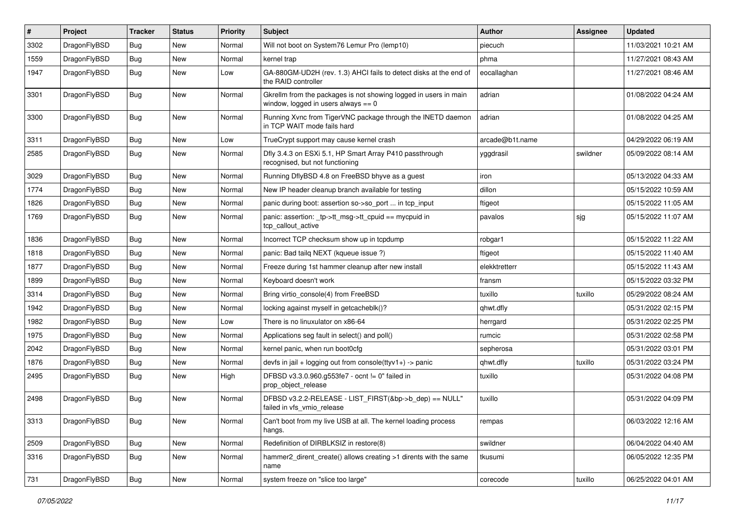| $\sharp$ | Project      | <b>Tracker</b> | <b>Status</b> | <b>Priority</b> | Subject                                                                                                   | <b>Author</b>   | Assignee | <b>Updated</b>      |
|----------|--------------|----------------|---------------|-----------------|-----------------------------------------------------------------------------------------------------------|-----------------|----------|---------------------|
| 3302     | DragonFlyBSD | <b>Bug</b>     | <b>New</b>    | Normal          | Will not boot on System76 Lemur Pro (lemp10)                                                              | piecuch         |          | 11/03/2021 10:21 AM |
| 1559     | DragonFlyBSD | <b>Bug</b>     | New           | Normal          | kernel trap                                                                                               | phma            |          | 11/27/2021 08:43 AM |
| 1947     | DragonFlyBSD | Bug            | New           | Low             | GA-880GM-UD2H (rev. 1.3) AHCI fails to detect disks at the end of<br>the RAID controller                  | eocallaghan     |          | 11/27/2021 08:46 AM |
| 3301     | DragonFlyBSD | <b>Bug</b>     | New           | Normal          | Gkrellm from the packages is not showing logged in users in main<br>window, logged in users always $== 0$ | adrian          |          | 01/08/2022 04:24 AM |
| 3300     | DragonFlyBSD | Bug            | New           | Normal          | Running Xvnc from TigerVNC package through the INETD daemon<br>in TCP WAIT mode fails hard                | adrian          |          | 01/08/2022 04:25 AM |
| 3311     | DragonFlyBSD | Bug            | <b>New</b>    | Low             | TrueCrypt support may cause kernel crash                                                                  | arcade@b1t.name |          | 04/29/2022 06:19 AM |
| 2585     | DragonFlyBSD | Bug            | New           | Normal          | Dfly 3.4.3 on ESXi 5.1, HP Smart Array P410 passthrough<br>recognised, but not functioning                | yggdrasil       | swildner | 05/09/2022 08:14 AM |
| 3029     | DragonFlyBSD | Bug            | <b>New</b>    | Normal          | Running DflyBSD 4.8 on FreeBSD bhyve as a guest                                                           | iron            |          | 05/13/2022 04:33 AM |
| 1774     | DragonFlyBSD | Bug            | <b>New</b>    | Normal          | New IP header cleanup branch available for testing                                                        | dillon          |          | 05/15/2022 10:59 AM |
| 1826     | DragonFlyBSD | Bug            | New           | Normal          | panic during boot: assertion so->so_port  in tcp_input                                                    | ftigeot         |          | 05/15/2022 11:05 AM |
| 1769     | DragonFlyBSD | Bug            | <b>New</b>    | Normal          | panic: assertion: _tp->tt_msg->tt_cpuid == mycpuid in<br>tcp_callout_active                               | pavalos         | sjg      | 05/15/2022 11:07 AM |
| 1836     | DragonFlyBSD | Bug            | <b>New</b>    | Normal          | Incorrect TCP checksum show up in tcpdump                                                                 | robgar1         |          | 05/15/2022 11:22 AM |
| 1818     | DragonFlyBSD | Bug            | New           | Normal          | panic: Bad tailq NEXT (kqueue issue ?)                                                                    | ftigeot         |          | 05/15/2022 11:40 AM |
| 1877     | DragonFlyBSD | Bug            | <b>New</b>    | Normal          | Freeze during 1st hammer cleanup after new install                                                        | elekktretterr   |          | 05/15/2022 11:43 AM |
| 1899     | DragonFlyBSD | Bug            | New           | Normal          | Keyboard doesn't work                                                                                     | fransm          |          | 05/15/2022 03:32 PM |
| 3314     | DragonFlyBSD | Bug            | <b>New</b>    | Normal          | Bring virtio_console(4) from FreeBSD                                                                      | tuxillo         | tuxillo  | 05/29/2022 08:24 AM |
| 1942     | DragonFlyBSD | Bug            | New           | Normal          | locking against myself in getcacheblk()?                                                                  | qhwt.dfly       |          | 05/31/2022 02:15 PM |
| 1982     | DragonFlyBSD | Bug            | New           | Low             | There is no linuxulator on x86-64                                                                         | herrgard        |          | 05/31/2022 02:25 PM |
| 1975     | DragonFlyBSD | Bug            | <b>New</b>    | Normal          | Applications seg fault in select() and poll()                                                             | rumcic          |          | 05/31/2022 02:58 PM |
| 2042     | DragonFlyBSD | Bug            | New           | Normal          | kernel panic, when run boot0cfg                                                                           | sepherosa       |          | 05/31/2022 03:01 PM |
| 1876     | DragonFlyBSD | Bug            | New           | Normal          | devfs in jail + logging out from console(ttyv1+) -> panic                                                 | qhwt.dfly       | tuxillo  | 05/31/2022 03:24 PM |
| 2495     | DragonFlyBSD | Bug            | New           | High            | DFBSD v3.3.0.960.g553fe7 - ocnt != 0" failed in<br>prop_object_release                                    | tuxillo         |          | 05/31/2022 04:08 PM |
| 2498     | DragonFlyBSD | Bug            | New           | Normal          | DFBSD v3.2.2-RELEASE - LIST_FIRST(&bp->b_dep) == NULL"<br>failed in vfs_vmio_release                      | tuxillo         |          | 05/31/2022 04:09 PM |
| 3313     | DragonFlyBSD | <b>Bug</b>     | New           | Normal          | Can't boot from my live USB at all. The kernel loading process<br>hangs.                                  | rempas          |          | 06/03/2022 12:16 AM |
| 2509     | DragonFlyBSD | <b>Bug</b>     | <b>New</b>    | Normal          | Redefinition of DIRBLKSIZ in restore(8)                                                                   | swildner        |          | 06/04/2022 04:40 AM |
| 3316     | DragonFlyBSD | Bug            | New           | Normal          | hammer2 dirent create() allows creating >1 dirents with the same<br>name                                  | tkusumi         |          | 06/05/2022 12:35 PM |
| 731      | DragonFlyBSD | <b>Bug</b>     | New           | Normal          | system freeze on "slice too large"                                                                        | corecode        | tuxillo  | 06/25/2022 04:01 AM |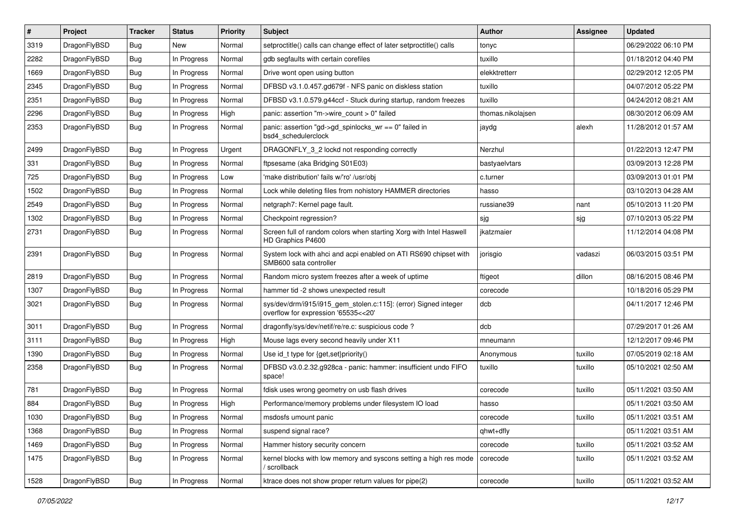| #    | Project      | <b>Tracker</b> | <b>Status</b> | <b>Priority</b> | <b>Subject</b>                                                                                         | <b>Author</b>     | <b>Assignee</b> | <b>Updated</b>      |
|------|--------------|----------------|---------------|-----------------|--------------------------------------------------------------------------------------------------------|-------------------|-----------------|---------------------|
| 3319 | DragonFlyBSD | <b>Bug</b>     | <b>New</b>    | Normal          | setproctitle() calls can change effect of later setproctitle() calls                                   | tonyc             |                 | 06/29/2022 06:10 PM |
| 2282 | DragonFlyBSD | <b>Bug</b>     | In Progress   | Normal          | gdb segfaults with certain corefiles                                                                   | tuxillo           |                 | 01/18/2012 04:40 PM |
| 1669 | DragonFlyBSD | <b>Bug</b>     | In Progress   | Normal          | Drive wont open using button                                                                           | elekktretterr     |                 | 02/29/2012 12:05 PM |
| 2345 | DragonFlyBSD | <b>Bug</b>     | In Progress   | Normal          | DFBSD v3.1.0.457.gd679f - NFS panic on diskless station                                                | tuxillo           |                 | 04/07/2012 05:22 PM |
| 2351 | DragonFlyBSD | <b>Bug</b>     | In Progress   | Normal          | DFBSD v3.1.0.579.g44ccf - Stuck during startup, random freezes                                         | tuxillo           |                 | 04/24/2012 08:21 AM |
| 2296 | DragonFlyBSD | <b>Bug</b>     | In Progress   | High            | panic: assertion "m->wire count > 0" failed                                                            | thomas.nikolajsen |                 | 08/30/2012 06:09 AM |
| 2353 | DragonFlyBSD | Bug            | In Progress   | Normal          | panic: assertion "gd->gd_spinlocks_wr == 0" failed in<br>bsd4_schedulerclock                           | jaydg             | alexh           | 11/28/2012 01:57 AM |
| 2499 | DragonFlyBSD | <b>Bug</b>     | In Progress   | Urgent          | DRAGONFLY_3_2 lockd not responding correctly                                                           | Nerzhul           |                 | 01/22/2013 12:47 PM |
| 331  | DragonFlyBSD | <b>Bug</b>     | In Progress   | Normal          | ftpsesame (aka Bridging S01E03)                                                                        | bastyaelvtars     |                 | 03/09/2013 12:28 PM |
| 725  | DragonFlyBSD | <b>Bug</b>     | In Progress   | Low             | 'make distribution' fails w/'ro' /usr/obj                                                              | c.turner          |                 | 03/09/2013 01:01 PM |
| 1502 | DragonFlyBSD | Bug            | In Progress   | Normal          | Lock while deleting files from nohistory HAMMER directories                                            | hasso             |                 | 03/10/2013 04:28 AM |
| 2549 | DragonFlyBSD | <b>Bug</b>     | In Progress   | Normal          | netgraph7: Kernel page fault.                                                                          | russiane39        | nant            | 05/10/2013 11:20 PM |
| 1302 | DragonFlyBSD | <b>Bug</b>     | In Progress   | Normal          | Checkpoint regression?                                                                                 | sjg               | sjg             | 07/10/2013 05:22 PM |
| 2731 | DragonFlyBSD | Bug            | In Progress   | Normal          | Screen full of random colors when starting Xorg with Intel Haswell<br>HD Graphics P4600                | ikatzmaier        |                 | 11/12/2014 04:08 PM |
| 2391 | DragonFlyBSD | <b>Bug</b>     | In Progress   | Normal          | System lock with ahci and acpi enabled on ATI RS690 chipset with<br>SMB600 sata controller             | jorisgio          | vadaszi         | 06/03/2015 03:51 PM |
| 2819 | DragonFlyBSD | <b>Bug</b>     | In Progress   | Normal          | Random micro system freezes after a week of uptime                                                     | ftigeot           | dillon          | 08/16/2015 08:46 PM |
| 1307 | DragonFlyBSD | Bug            | In Progress   | Normal          | hammer tid -2 shows unexpected result                                                                  | corecode          |                 | 10/18/2016 05:29 PM |
| 3021 | DragonFlyBSD | <b>Bug</b>     | In Progress   | Normal          | sys/dev/drm/i915/i915_gem_stolen.c:115]: (error) Signed integer<br>overflow for expression '65535<<20' | dcb               |                 | 04/11/2017 12:46 PM |
| 3011 | DragonFlyBSD | Bug            | In Progress   | Normal          | dragonfly/sys/dev/netif/re/re.c: suspicious code ?                                                     | dcb               |                 | 07/29/2017 01:26 AM |
| 3111 | DragonFlyBSD | <b>Bug</b>     | In Progress   | High            | Mouse lags every second heavily under X11                                                              | mneumann          |                 | 12/12/2017 09:46 PM |
| 1390 | DragonFlyBSD | <b>Bug</b>     | In Progress   | Normal          | Use id_t type for {get,set}priority()                                                                  | Anonymous         | tuxillo         | 07/05/2019 02:18 AM |
| 2358 | DragonFlyBSD | <b>Bug</b>     | In Progress   | Normal          | DFBSD v3.0.2.32.g928ca - panic: hammer: insufficient undo FIFO<br>space!                               | tuxillo           | tuxillo         | 05/10/2021 02:50 AM |
| 781  | DragonFlyBSD | Bug            | In Progress   | Normal          | fdisk uses wrong geometry on usb flash drives                                                          | corecode          | tuxillo         | 05/11/2021 03:50 AM |
| 884  | DragonFlyBSD | <b>Bug</b>     | In Progress   | High            | Performance/memory problems under filesystem IO load                                                   | hasso             |                 | 05/11/2021 03:50 AM |
| 1030 | DragonFlyBSD | <b>Bug</b>     | In Progress   | Normal          | msdosfs umount panic                                                                                   | corecode          | tuxillo         | 05/11/2021 03:51 AM |
| 1368 | DragonFlyBSD | Bug            | In Progress   | Normal          | suspend signal race?                                                                                   | qhwt+dfly         |                 | 05/11/2021 03:51 AM |
| 1469 | DragonFlyBSD | <b>Bug</b>     | In Progress   | Normal          | Hammer history security concern                                                                        | corecode          | tuxillo         | 05/11/2021 03:52 AM |
| 1475 | DragonFlyBSD | <b>Bug</b>     | In Progress   | Normal          | kernel blocks with low memory and syscons setting a high res mode<br>scrollback                        | corecode          | tuxillo         | 05/11/2021 03:52 AM |
| 1528 | DragonFlyBSD | Bug            | In Progress   | Normal          | ktrace does not show proper return values for pipe(2)                                                  | corecode          | tuxillo         | 05/11/2021 03:52 AM |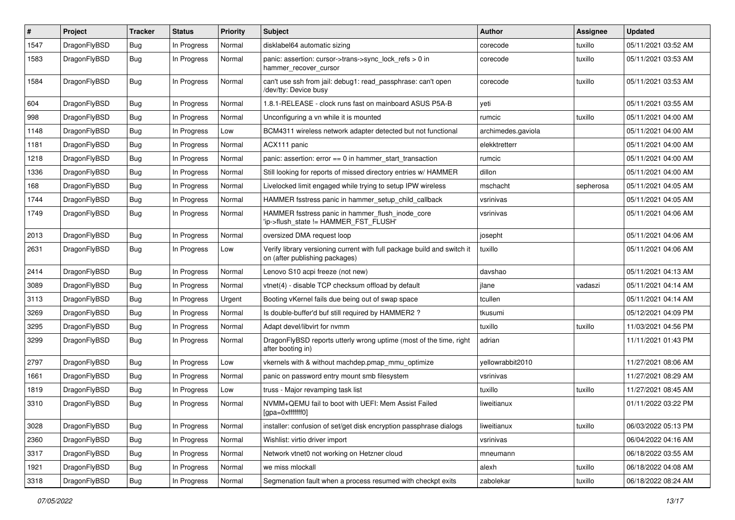| #    | Project      | <b>Tracker</b> | <b>Status</b> | <b>Priority</b> | <b>Subject</b>                                                                                            | <b>Author</b>      | <b>Assignee</b> | <b>Updated</b>      |
|------|--------------|----------------|---------------|-----------------|-----------------------------------------------------------------------------------------------------------|--------------------|-----------------|---------------------|
| 1547 | DragonFlyBSD | Bug            | In Progress   | Normal          | disklabel64 automatic sizing                                                                              | corecode           | tuxillo         | 05/11/2021 03:52 AM |
| 1583 | DragonFlyBSD | <b>Bug</b>     | In Progress   | Normal          | panic: assertion: cursor->trans->sync_lock_refs > 0 in<br>hammer_recover_cursor                           | corecode           | tuxillo         | 05/11/2021 03:53 AM |
| 1584 | DragonFlyBSD | Bug            | In Progress   | Normal          | can't use ssh from jail: debug1: read_passphrase: can't open<br>/dev/tty: Device busy                     | corecode           | tuxillo         | 05/11/2021 03:53 AM |
| 604  | DragonFlyBSD | <b>Bug</b>     | In Progress   | Normal          | 1.8.1-RELEASE - clock runs fast on mainboard ASUS P5A-B                                                   | veti               |                 | 05/11/2021 03:55 AM |
| 998  | DragonFlyBSD | Bug            | In Progress   | Normal          | Unconfiguring a vn while it is mounted                                                                    | rumcic             | tuxillo         | 05/11/2021 04:00 AM |
| 1148 | DragonFlyBSD | Bug            | In Progress   | Low             | BCM4311 wireless network adapter detected but not functional                                              | archimedes.gaviola |                 | 05/11/2021 04:00 AM |
| 1181 | DragonFlyBSD | Bug            | In Progress   | Normal          | ACX111 panic                                                                                              | elekktretterr      |                 | 05/11/2021 04:00 AM |
| 1218 | DragonFlyBSD | Bug            | In Progress   | Normal          | panic: assertion: $error == 0$ in hammer start transaction                                                | rumcic             |                 | 05/11/2021 04:00 AM |
| 1336 | DragonFlyBSD | Bug            | In Progress   | Normal          | Still looking for reports of missed directory entries w/ HAMMER                                           | dillon             |                 | 05/11/2021 04:00 AM |
| 168  | DragonFlyBSD | Bug            | In Progress   | Normal          | Livelocked limit engaged while trying to setup IPW wireless                                               | mschacht           | sepherosa       | 05/11/2021 04:05 AM |
| 1744 | DragonFlyBSD | <b>Bug</b>     | In Progress   | Normal          | HAMMER fsstress panic in hammer_setup_child_callback                                                      | vsrinivas          |                 | 05/11/2021 04:05 AM |
| 1749 | DragonFlyBSD | Bug            | In Progress   | Normal          | HAMMER fsstress panic in hammer_flush_inode_core<br>'ip->flush_state != HAMMER_FST_FLUSH'                 | vsrinivas          |                 | 05/11/2021 04:06 AM |
| 2013 | DragonFlyBSD | <b>Bug</b>     | In Progress   | Normal          | oversized DMA request loop                                                                                | josepht            |                 | 05/11/2021 04:06 AM |
| 2631 | DragonFlyBSD | Bug            | In Progress   | Low             | Verify library versioning current with full package build and switch it<br>on (after publishing packages) | tuxillo            |                 | 05/11/2021 04:06 AM |
| 2414 | DragonFlyBSD | <b>Bug</b>     | In Progress   | Normal          | Lenovo S10 acpi freeze (not new)                                                                          | davshao            |                 | 05/11/2021 04:13 AM |
| 3089 | DragonFlyBSD | Bug            | In Progress   | Normal          | vtnet(4) - disable TCP checksum offload by default                                                        | jlane              | vadaszi         | 05/11/2021 04:14 AM |
| 3113 | DragonFlyBSD | Bug            | In Progress   | Urgent          | Booting vKernel fails due being out of swap space                                                         | tcullen            |                 | 05/11/2021 04:14 AM |
| 3269 | DragonFlyBSD | Bug            | In Progress   | Normal          | Is double-buffer'd buf still required by HAMMER2?                                                         | tkusumi            |                 | 05/12/2021 04:09 PM |
| 3295 | DragonFlyBSD | Bug            | In Progress   | Normal          | Adapt devel/libvirt for nvmm                                                                              | tuxillo            | tuxillo         | 11/03/2021 04:56 PM |
| 3299 | DragonFlyBSD | Bug            | In Progress   | Normal          | DragonFlyBSD reports utterly wrong uptime (most of the time, right<br>after booting in)                   | adrian             |                 | 11/11/2021 01:43 PM |
| 2797 | DragonFlyBSD | Bug            | In Progress   | Low             | vkernels with & without machdep.pmap_mmu_optimize                                                         | vellowrabbit2010   |                 | 11/27/2021 08:06 AM |
| 1661 | DragonFlyBSD | Bug            | In Progress   | Normal          | panic on password entry mount smb filesystem                                                              | vsrinivas          |                 | 11/27/2021 08:29 AM |
| 1819 | DragonFlyBSD | Bug            | In Progress   | Low             | truss - Major revamping task list                                                                         | tuxillo            | tuxillo         | 11/27/2021 08:45 AM |
| 3310 | DragonFlyBSD | Bug            | In Progress   | Normal          | NVMM+QEMU fail to boot with UEFI: Mem Assist Failed<br>[gpa=0xfffffff0]                                   | liweitianux        |                 | 01/11/2022 03:22 PM |
| 3028 | DragonFlyBSD | Bug            | In Progress   | Normal          | installer: confusion of set/get disk encryption passphrase dialogs                                        | liweitianux        | tuxillo         | 06/03/2022 05:13 PM |
| 2360 | DragonFlyBSD | <b>Bug</b>     | In Progress   | Normal          | Wishlist: virtio driver import                                                                            | vsrinivas          |                 | 06/04/2022 04:16 AM |
| 3317 | DragonFlyBSD | <b>Bug</b>     | In Progress   | Normal          | Network vtnet0 not working on Hetzner cloud                                                               | mneumann           |                 | 06/18/2022 03:55 AM |
| 1921 | DragonFlyBSD | <b>Bug</b>     | In Progress   | Normal          | we miss mlockall                                                                                          | alexh              | tuxillo         | 06/18/2022 04:08 AM |
| 3318 | DragonFlyBSD | Bug            | In Progress   | Normal          | Segmenation fault when a process resumed with checkpt exits                                               | zabolekar          | tuxillo         | 06/18/2022 08:24 AM |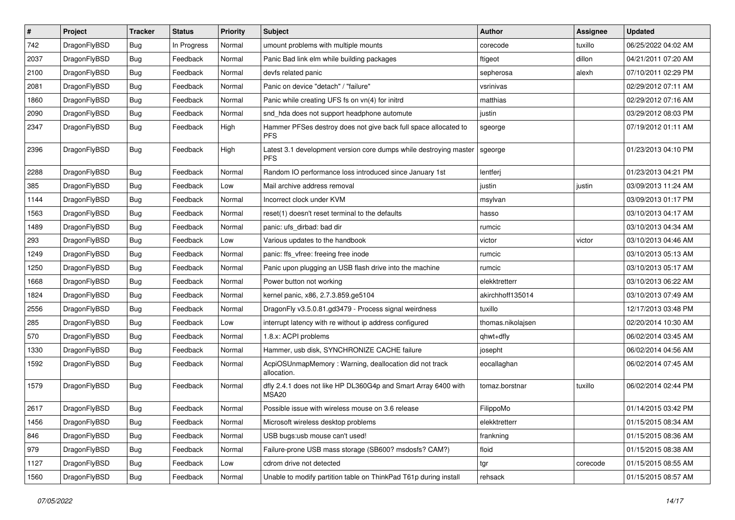| $\sharp$ | Project      | <b>Tracker</b> | <b>Status</b> | <b>Priority</b> | Subject                                                                         | <b>Author</b>     | <b>Assignee</b> | <b>Updated</b>      |
|----------|--------------|----------------|---------------|-----------------|---------------------------------------------------------------------------------|-------------------|-----------------|---------------------|
| 742      | DragonFlyBSD | <b>Bug</b>     | In Progress   | Normal          | umount problems with multiple mounts                                            | corecode          | tuxillo         | 06/25/2022 04:02 AM |
| 2037     | DragonFlyBSD | <b>Bug</b>     | Feedback      | Normal          | Panic Bad link elm while building packages                                      | ftigeot           | dillon          | 04/21/2011 07:20 AM |
| 2100     | DragonFlyBSD | <b>Bug</b>     | Feedback      | Normal          | devfs related panic                                                             | sepherosa         | alexh           | 07/10/2011 02:29 PM |
| 2081     | DragonFlyBSD | <b>Bug</b>     | Feedback      | Normal          | Panic on device "detach" / "failure"                                            | vsrinivas         |                 | 02/29/2012 07:11 AM |
| 1860     | DragonFlyBSD | <b>Bug</b>     | Feedback      | Normal          | Panic while creating UFS fs on vn(4) for initrd                                 | matthias          |                 | 02/29/2012 07:16 AM |
| 2090     | DragonFlyBSD | <b>Bug</b>     | Feedback      | Normal          | snd_hda does not support headphone automute                                     | justin            |                 | 03/29/2012 08:03 PM |
| 2347     | DragonFlyBSD | <b>Bug</b>     | Feedback      | High            | Hammer PFSes destroy does not give back full space allocated to<br><b>PFS</b>   | sgeorge           |                 | 07/19/2012 01:11 AM |
| 2396     | DragonFlyBSD | <b>Bug</b>     | Feedback      | High            | Latest 3.1 development version core dumps while destroying master<br><b>PFS</b> | sgeorge           |                 | 01/23/2013 04:10 PM |
| 2288     | DragonFlyBSD | <b>Bug</b>     | Feedback      | Normal          | Random IO performance loss introduced since January 1st                         | lentferj          |                 | 01/23/2013 04:21 PM |
| 385      | DragonFlyBSD | <b>Bug</b>     | Feedback      | Low             | Mail archive address removal                                                    | justin            | justin          | 03/09/2013 11:24 AM |
| 1144     | DragonFlyBSD | <b>Bug</b>     | Feedback      | Normal          | Incorrect clock under KVM                                                       | msylvan           |                 | 03/09/2013 01:17 PM |
| 1563     | DragonFlyBSD | <b>Bug</b>     | Feedback      | Normal          | reset(1) doesn't reset terminal to the defaults                                 | hasso             |                 | 03/10/2013 04:17 AM |
| 1489     | DragonFlyBSD | Bug            | Feedback      | Normal          | panic: ufs dirbad: bad dir                                                      | rumcic            |                 | 03/10/2013 04:34 AM |
| 293      | DragonFlyBSD | <b>Bug</b>     | Feedback      | Low             | Various updates to the handbook                                                 | victor            | victor          | 03/10/2013 04:46 AM |
| 1249     | DragonFlyBSD | <b>Bug</b>     | Feedback      | Normal          | panic: ffs_vfree: freeing free inode                                            | rumcic            |                 | 03/10/2013 05:13 AM |
| 1250     | DragonFlyBSD | <b>Bug</b>     | Feedback      | Normal          | Panic upon plugging an USB flash drive into the machine                         | rumcic            |                 | 03/10/2013 05:17 AM |
| 1668     | DragonFlyBSD | <b>Bug</b>     | Feedback      | Normal          | Power button not working                                                        | elekktretterr     |                 | 03/10/2013 06:22 AM |
| 1824     | DragonFlyBSD | <b>Bug</b>     | Feedback      | Normal          | kernel panic, x86, 2.7.3.859.ge5104                                             | akirchhoff135014  |                 | 03/10/2013 07:49 AM |
| 2556     | DragonFlyBSD | <b>Bug</b>     | Feedback      | Normal          | DragonFly v3.5.0.81.gd3479 - Process signal weirdness                           | tuxillo           |                 | 12/17/2013 03:48 PM |
| 285      | DragonFlyBSD | <b>Bug</b>     | Feedback      | Low             | interrupt latency with re without ip address configured                         | thomas.nikolajsen |                 | 02/20/2014 10:30 AM |
| 570      | DragonFlyBSD | <b>Bug</b>     | Feedback      | Normal          | 1.8.x: ACPI problems                                                            | qhwt+dfly         |                 | 06/02/2014 03:45 AM |
| 1330     | DragonFlyBSD | <b>Bug</b>     | Feedback      | Normal          | Hammer, usb disk, SYNCHRONIZE CACHE failure                                     | josepht           |                 | 06/02/2014 04:56 AM |
| 1592     | DragonFlyBSD | <b>Bug</b>     | Feedback      | Normal          | AcpiOSUnmapMemory: Warning, deallocation did not track<br>allocation.           | eocallaghan       |                 | 06/02/2014 07:45 AM |
| 1579     | DragonFlyBSD | <b>Bug</b>     | Feedback      | Normal          | dfly 2.4.1 does not like HP DL360G4p and Smart Array 6400 with<br><b>MSA20</b>  | tomaz.borstnar    | tuxillo         | 06/02/2014 02:44 PM |
| 2617     | DragonFlyBSD | <b>Bug</b>     | Feedback      | Normal          | Possible issue with wireless mouse on 3.6 release                               | FilippoMo         |                 | 01/14/2015 03:42 PM |
| 1456     | DragonFlyBSD | <b>Bug</b>     | Feedback      | Normal          | Microsoft wireless desktop problems                                             | elekktretterr     |                 | 01/15/2015 08:34 AM |
| 846      | DragonFlyBSD | <b>Bug</b>     | Feedback      | Normal          | USB bugs:usb mouse can't used!                                                  | frankning         |                 | 01/15/2015 08:36 AM |
| 979      | DragonFlyBSD | <b>Bug</b>     | Feedback      | Normal          | Failure-prone USB mass storage (SB600? msdosfs? CAM?)                           | floid             |                 | 01/15/2015 08:38 AM |
| 1127     | DragonFlyBSD | <b>Bug</b>     | Feedback      | Low             | cdrom drive not detected                                                        | tgr               | corecode        | 01/15/2015 08:55 AM |
| 1560     | DragonFlyBSD | <b>Bug</b>     | Feedback      | Normal          | Unable to modify partition table on ThinkPad T61p during install                | rehsack           |                 | 01/15/2015 08:57 AM |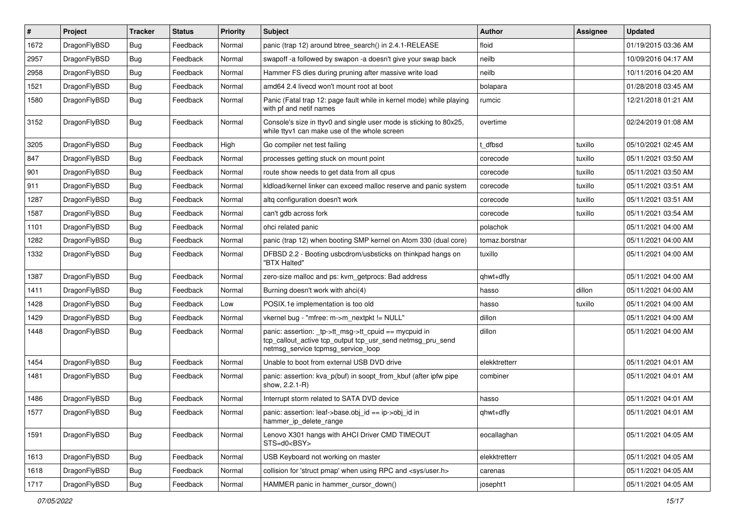| $\vert$ # | Project      | <b>Tracker</b> | <b>Status</b> | <b>Priority</b> | Subject                                                                                                                                                   | Author         | Assignee | <b>Updated</b>      |
|-----------|--------------|----------------|---------------|-----------------|-----------------------------------------------------------------------------------------------------------------------------------------------------------|----------------|----------|---------------------|
| 1672      | DragonFlyBSD | <b>Bug</b>     | Feedback      | Normal          | panic (trap 12) around btree_search() in 2.4.1-RELEASE                                                                                                    | floid          |          | 01/19/2015 03:36 AM |
| 2957      | DragonFlyBSD | Bug            | Feedback      | Normal          | swapoff -a followed by swapon -a doesn't give your swap back                                                                                              | neilb          |          | 10/09/2016 04:17 AM |
| 2958      | DragonFlyBSD | <b>Bug</b>     | Feedback      | Normal          | Hammer FS dies during pruning after massive write load                                                                                                    | neilb          |          | 10/11/2016 04:20 AM |
| 1521      | DragonFlyBSD | Bug            | Feedback      | Normal          | amd64 2.4 livecd won't mount root at boot                                                                                                                 | bolapara       |          | 01/28/2018 03:45 AM |
| 1580      | DragonFlyBSD | Bug            | Feedback      | Normal          | Panic (Fatal trap 12: page fault while in kernel mode) while playing<br>with pf and netif names                                                           | rumcic         |          | 12/21/2018 01:21 AM |
| 3152      | DragonFlyBSD | Bug            | Feedback      | Normal          | Console's size in ttyv0 and single user mode is sticking to 80x25,<br>while ttyv1 can make use of the whole screen                                        | overtime       |          | 02/24/2019 01:08 AM |
| 3205      | DragonFlyBSD | Bug            | Feedback      | High            | Go compiler net test failing                                                                                                                              | t dfbsd        | tuxillo  | 05/10/2021 02:45 AM |
| 847       | DragonFlyBSD | <b>Bug</b>     | Feedback      | Normal          | processes getting stuck on mount point                                                                                                                    | corecode       | tuxillo  | 05/11/2021 03:50 AM |
| 901       | DragonFlyBSD | <b>Bug</b>     | Feedback      | Normal          | route show needs to get data from all cpus                                                                                                                | corecode       | tuxillo  | 05/11/2021 03:50 AM |
| 911       | DragonFlyBSD | Bug            | Feedback      | Normal          | kldload/kernel linker can exceed malloc reserve and panic system                                                                                          | corecode       | tuxillo  | 05/11/2021 03:51 AM |
| 1287      | DragonFlyBSD | <b>Bug</b>     | Feedback      | Normal          | altq configuration doesn't work                                                                                                                           | corecode       | tuxillo  | 05/11/2021 03:51 AM |
| 1587      | DragonFlyBSD | <b>Bug</b>     | Feedback      | Normal          | can't gdb across fork                                                                                                                                     | corecode       | tuxillo  | 05/11/2021 03:54 AM |
| 1101      | DragonFlyBSD | Bug            | Feedback      | Normal          | ohci related panic                                                                                                                                        | polachok       |          | 05/11/2021 04:00 AM |
| 1282      | DragonFlyBSD | <b>Bug</b>     | Feedback      | Normal          | panic (trap 12) when booting SMP kernel on Atom 330 (dual core)                                                                                           | tomaz.borstnar |          | 05/11/2021 04:00 AM |
| 1332      | DragonFlyBSD | <b>Bug</b>     | Feedback      | Normal          | DFBSD 2.2 - Booting usbcdrom/usbsticks on thinkpad hangs on<br>"BTX Halted"                                                                               | tuxillo        |          | 05/11/2021 04:00 AM |
| 1387      | DragonFlyBSD | <b>Bug</b>     | Feedback      | Normal          | zero-size malloc and ps: kvm_getprocs: Bad address                                                                                                        | qhwt+dfly      |          | 05/11/2021 04:00 AM |
| 1411      | DragonFlyBSD | Bug            | Feedback      | Normal          | Burning doesn't work with ahci(4)                                                                                                                         | hasso          | dillon   | 05/11/2021 04:00 AM |
| 1428      | DragonFlyBSD | <b>Bug</b>     | Feedback      | Low             | POSIX.1e implementation is too old                                                                                                                        | hasso          | tuxillo  | 05/11/2021 04:00 AM |
| 1429      | DragonFlyBSD | Bug            | Feedback      | Normal          | vkernel bug - "mfree: m->m_nextpkt != NULL"                                                                                                               | dillon         |          | 05/11/2021 04:00 AM |
| 1448      | DragonFlyBSD | Bug            | Feedback      | Normal          | panic: assertion: _tp->tt_msg->tt_cpuid == mycpuid in<br>tcp_callout_active tcp_output tcp_usr_send netmsg_pru_send<br>netmsg_service tcpmsg_service_loop | dillon         |          | 05/11/2021 04:00 AM |
| 1454      | DragonFlyBSD | Bug            | Feedback      | Normal          | Unable to boot from external USB DVD drive                                                                                                                | elekktretterr  |          | 05/11/2021 04:01 AM |
| 1481      | DragonFlyBSD | <b>Bug</b>     | Feedback      | Normal          | panic: assertion: kva_p(buf) in soopt_from_kbuf (after ipfw pipe<br>show, 2.2.1-R)                                                                        | combiner       |          | 05/11/2021 04:01 AM |
| 1486      | DragonFlyBSD | <b>Bug</b>     | Feedback      | Normal          | Interrupt storm related to SATA DVD device                                                                                                                | hasso          |          | 05/11/2021 04:01 AM |
| 1577      | DragonFlyBSD | Bug            | Feedback      | Normal          | panic: assertion: $leaf$ - $base$ .obj $id == ip$ - $\geq$ obj $id$ in<br>hammer_ip_delete_range                                                          | qhwt+dfly      |          | 05/11/2021 04:01 AM |
| 1591      | DragonFlyBSD | Bug            | Feedback      | Normal          | Lenovo X301 hangs with AHCI Driver CMD TIMEOUT<br>STS=d0 <bsy></bsy>                                                                                      | eocallaghan    |          | 05/11/2021 04:05 AM |
| 1613      | DragonFlyBSD | <b>Bug</b>     | Feedback      | Normal          | USB Keyboard not working on master                                                                                                                        | elekktretterr  |          | 05/11/2021 04:05 AM |
| 1618      | DragonFlyBSD | <b>Bug</b>     | Feedback      | Normal          | collision for 'struct pmap' when using RPC and <sys user.h=""></sys>                                                                                      | carenas        |          | 05/11/2021 04:05 AM |
| 1717      | DragonFlyBSD | Bug            | Feedback      | Normal          | HAMMER panic in hammer_cursor_down()                                                                                                                      | josepht1       |          | 05/11/2021 04:05 AM |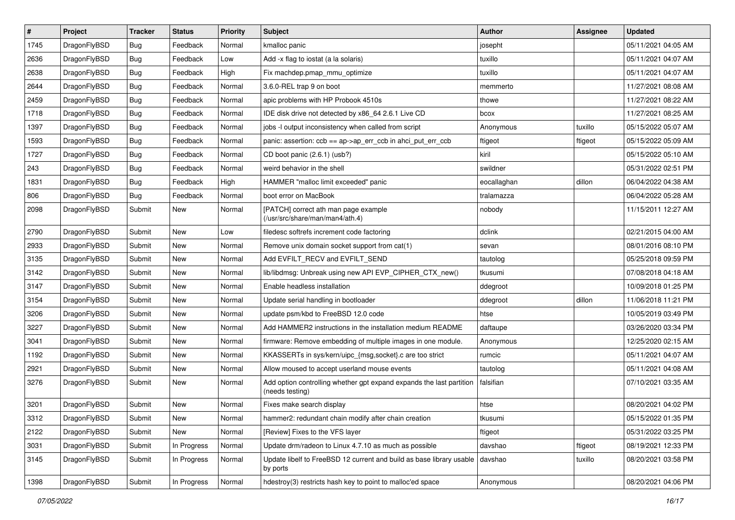| $\sharp$ | Project      | <b>Tracker</b> | <b>Status</b> | <b>Priority</b> | Subject                                                                                 | <b>Author</b> | Assignee | <b>Updated</b>      |
|----------|--------------|----------------|---------------|-----------------|-----------------------------------------------------------------------------------------|---------------|----------|---------------------|
| 1745     | DragonFlyBSD | <b>Bug</b>     | Feedback      | Normal          | kmalloc panic                                                                           | josepht       |          | 05/11/2021 04:05 AM |
| 2636     | DragonFlyBSD | <b>Bug</b>     | Feedback      | Low             | Add -x flag to iostat (a la solaris)                                                    | tuxillo       |          | 05/11/2021 04:07 AM |
| 2638     | DragonFlyBSD | <b>Bug</b>     | Feedback      | High            | Fix machdep.pmap_mmu_optimize                                                           | tuxillo       |          | 05/11/2021 04:07 AM |
| 2644     | DragonFlyBSD | <b>Bug</b>     | Feedback      | Normal          | 3.6.0-REL trap 9 on boot                                                                | memmerto      |          | 11/27/2021 08:08 AM |
| 2459     | DragonFlyBSD | <b>Bug</b>     | Feedback      | Normal          | apic problems with HP Probook 4510s                                                     | thowe         |          | 11/27/2021 08:22 AM |
| 1718     | DragonFlyBSD | <b>Bug</b>     | Feedback      | Normal          | IDE disk drive not detected by x86_64 2.6.1 Live CD                                     | bcox          |          | 11/27/2021 08:25 AM |
| 1397     | DragonFlyBSD | Bug            | Feedback      | Normal          | jobs -I output inconsistency when called from script                                    | Anonymous     | tuxillo  | 05/15/2022 05:07 AM |
| 1593     | DragonFlyBSD | Bug            | Feedback      | Normal          | panic: assertion: ccb == ap->ap_err_ccb in ahci_put_err_ccb                             | ftigeot       | ftigeot  | 05/15/2022 05:09 AM |
| 1727     | DragonFlyBSD | <b>Bug</b>     | Feedback      | Normal          | CD boot panic (2.6.1) (usb?)                                                            | kiril         |          | 05/15/2022 05:10 AM |
| 243      | DragonFlyBSD | Bug            | Feedback      | Normal          | weird behavior in the shell                                                             | swildner      |          | 05/31/2022 02:51 PM |
| 1831     | DragonFlyBSD | Bug            | Feedback      | High            | HAMMER "malloc limit exceeded" panic                                                    | eocallaghan   | dillon   | 06/04/2022 04:38 AM |
| 806      | DragonFlyBSD | Bug            | Feedback      | Normal          | boot error on MacBook                                                                   | tralamazza    |          | 06/04/2022 05:28 AM |
| 2098     | DragonFlyBSD | Submit         | New           | Normal          | [PATCH] correct ath man page example<br>(/usr/src/share/man/man4/ath.4)                 | nobody        |          | 11/15/2011 12:27 AM |
| 2790     | DragonFlyBSD | Submit         | New           | Low             | filedesc softrefs increment code factoring                                              | dclink        |          | 02/21/2015 04:00 AM |
| 2933     | DragonFlyBSD | Submit         | New           | Normal          | Remove unix domain socket support from cat(1)                                           | sevan         |          | 08/01/2016 08:10 PM |
| 3135     | DragonFlyBSD | Submit         | <b>New</b>    | Normal          | Add EVFILT_RECV and EVFILT_SEND                                                         | tautolog      |          | 05/25/2018 09:59 PM |
| 3142     | DragonFlyBSD | Submit         | New           | Normal          | lib/libdmsg: Unbreak using new API EVP_CIPHER_CTX_new()                                 | tkusumi       |          | 07/08/2018 04:18 AM |
| 3147     | DragonFlyBSD | Submit         | New           | Normal          | Enable headless installation                                                            | ddegroot      |          | 10/09/2018 01:25 PM |
| 3154     | DragonFlyBSD | Submit         | <b>New</b>    | Normal          | Update serial handling in bootloader                                                    | ddegroot      | dillon   | 11/06/2018 11:21 PM |
| 3206     | DragonFlyBSD | Submit         | New           | Normal          | update psm/kbd to FreeBSD 12.0 code                                                     | htse          |          | 10/05/2019 03:49 PM |
| 3227     | DragonFlyBSD | Submit         | New           | Normal          | Add HAMMER2 instructions in the installation medium README                              | daftaupe      |          | 03/26/2020 03:34 PM |
| 3041     | DragonFlyBSD | Submit         | New           | Normal          | firmware: Remove embedding of multiple images in one module.                            | Anonymous     |          | 12/25/2020 02:15 AM |
| 1192     | DragonFlyBSD | Submit         | New           | Normal          | KKASSERTs in sys/kern/uipc_{msg,socket}.c are too strict                                | rumcic        |          | 05/11/2021 04:07 AM |
| 2921     | DragonFlyBSD | Submit         | New           | Normal          | Allow moused to accept userland mouse events                                            | tautolog      |          | 05/11/2021 04:08 AM |
| 3276     | DragonFlyBSD | Submit         | New           | Normal          | Add option controlling whether gpt expand expands the last partition<br>(needs testing) | falsifian     |          | 07/10/2021 03:35 AM |
| 3201     | DragonFlyBSD | Submit         | <b>New</b>    | Normal          | Fixes make search display                                                               | htse          |          | 08/20/2021 04:02 PM |
| 3312     | DragonFlyBSD | Submit         | <b>New</b>    | Normal          | hammer2: redundant chain modify after chain creation                                    | tkusumi       |          | 05/15/2022 01:35 PM |
| 2122     | DragonFlyBSD | Submit         | New           | Normal          | [Review] Fixes to the VFS layer                                                         | ftigeot       |          | 05/31/2022 03:25 PM |
| 3031     | DragonFlyBSD | Submit         | In Progress   | Normal          | Update drm/radeon to Linux 4.7.10 as much as possible                                   | davshao       | ftigeot  | 08/19/2021 12:33 PM |
| 3145     | DragonFlyBSD | Submit         | In Progress   | Normal          | Update libelf to FreeBSD 12 current and build as base library usable<br>by ports        | davshao       | tuxillo  | 08/20/2021 03:58 PM |
| 1398     | DragonFlyBSD | Submit         | In Progress   | Normal          | hdestroy(3) restricts hash key to point to malloc'ed space                              | Anonymous     |          | 08/20/2021 04:06 PM |